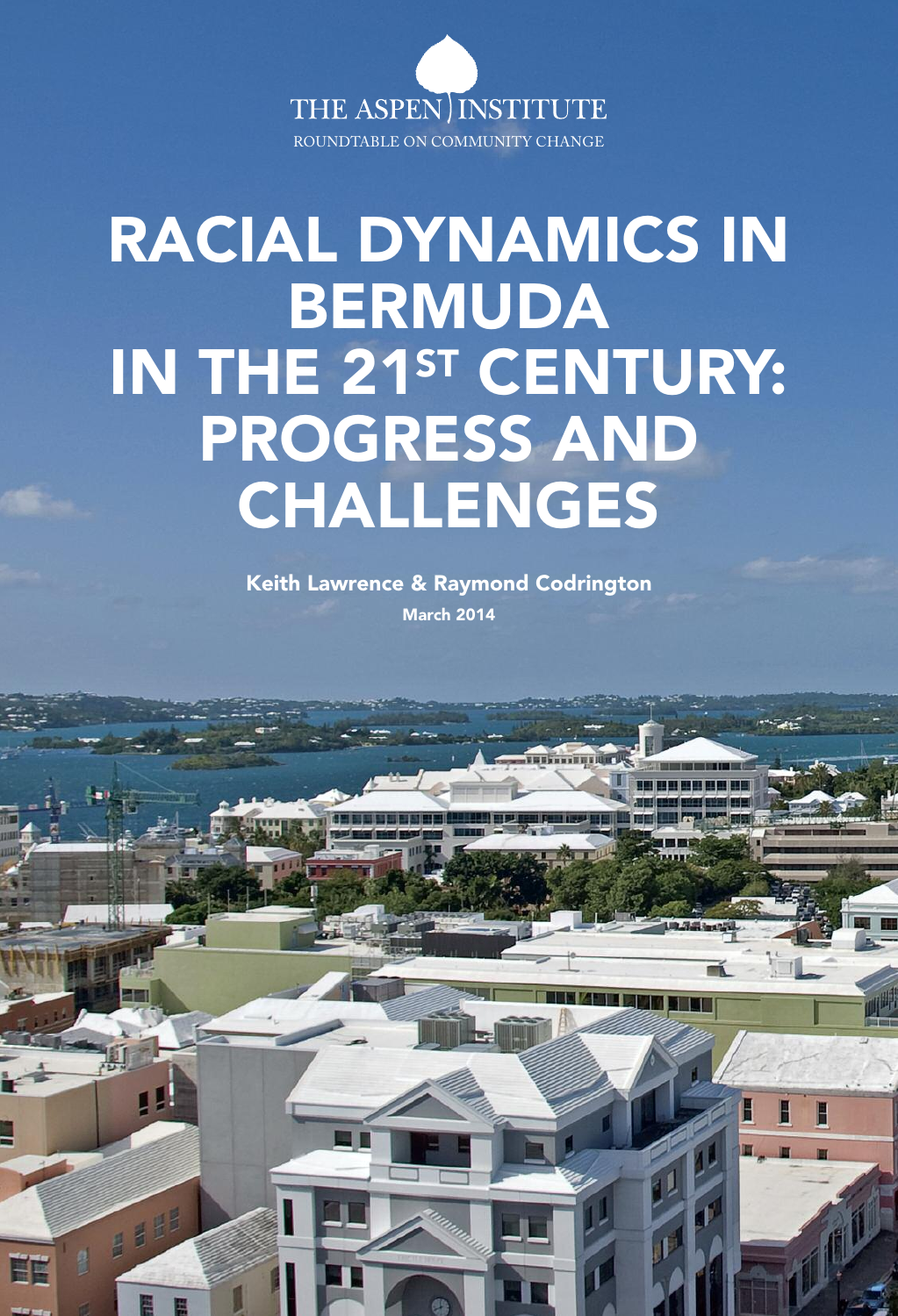

# RACIAL DYNAMICS IN BERMUDA IN THE 21<sup>ST</sup> CENTURY: PROGRESS AND CHALLENGES

Keith Lawrence & Raymond Codrington March 2014

F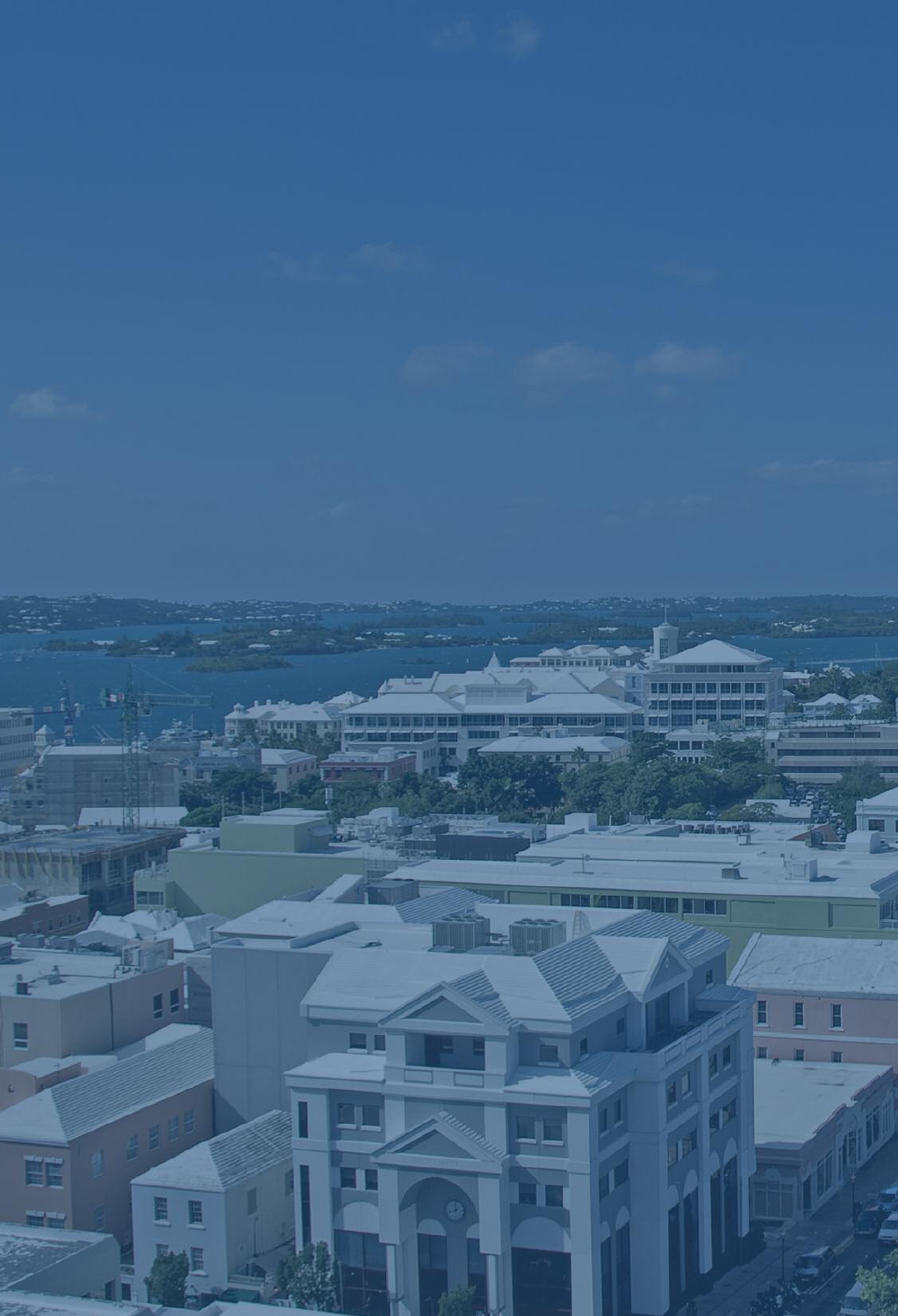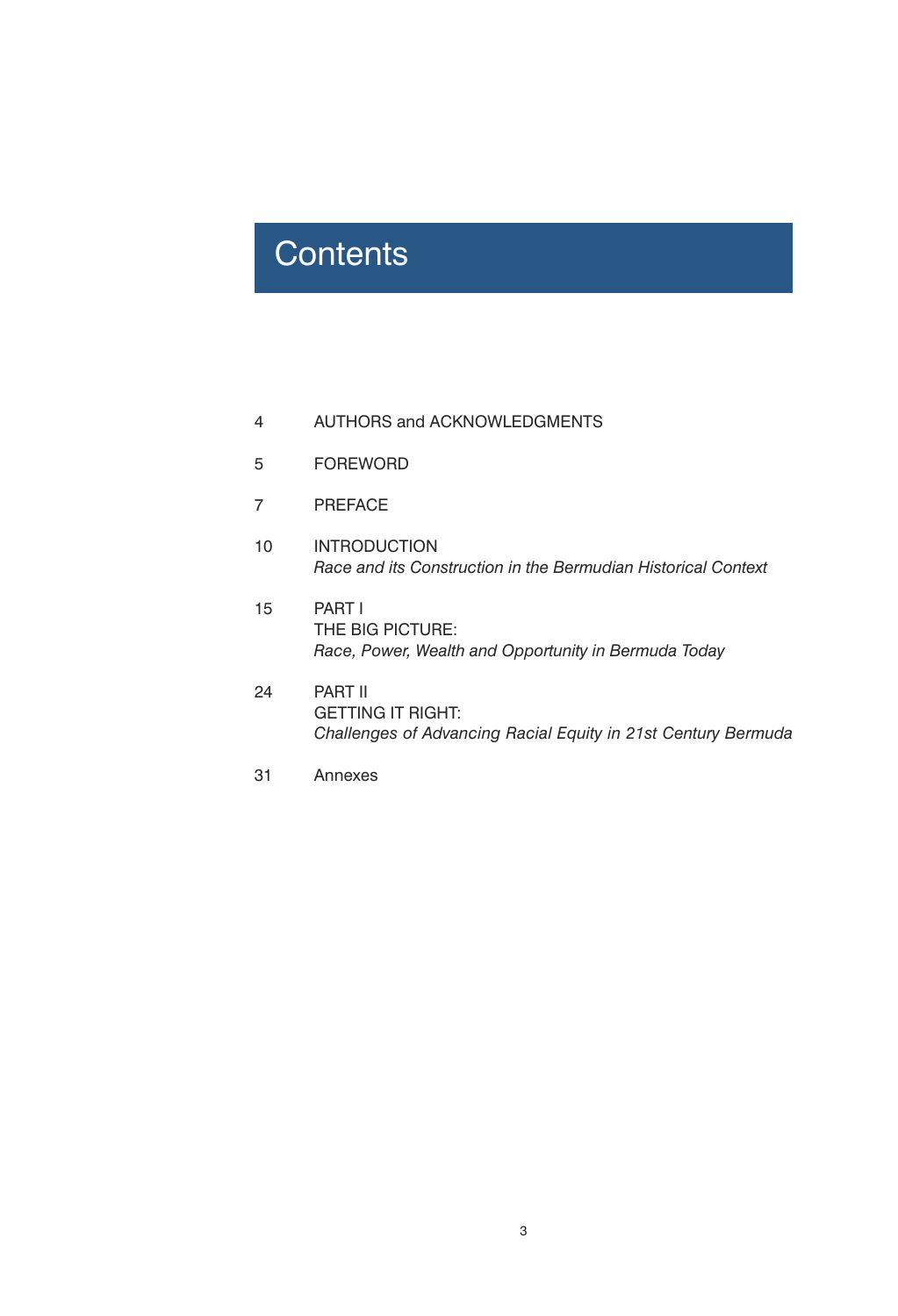# **Contents**

- 4 AUTHORS and ACKNOWLEDGMENTS
- 5 FOREWORD
- 7 PREFACE
- 10 INTRODUCTION *Race and its Construction in the Bermudian Historical Context*
- 15 PART I THE BIG PICTURE: *Race, Power, Wealth and Opportunity in Bermuda Today*
- 24 PART II GETTING IT RIGHT: *Challenges of Advancing Racial Equity in 21st Century Bermuda*
- 31 Annexes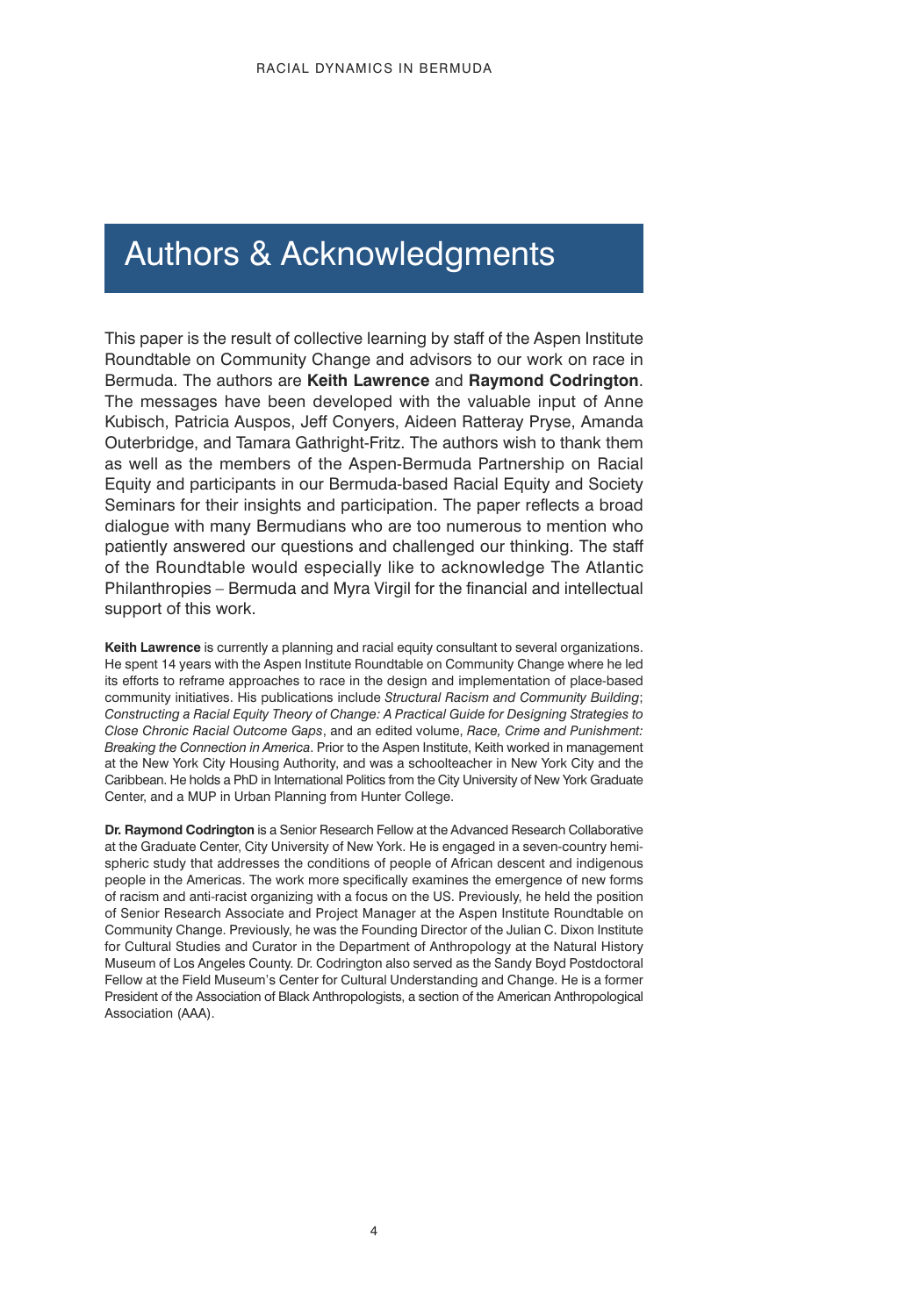### Authors & Acknowledgments

This paper is the result of collective learning by staff of the Aspen Institute Roundtable on Community Change and advisors to our work on race in Bermuda. The authors are **Keith Lawrence** and **Raymond Codrington**. The messages have been developed with the valuable input of Anne Kubisch, Patricia Auspos, Jeff Conyers, Aideen Ratteray Pryse, Amanda Outerbridge, and Tamara Gathright-Fritz. The authors wish to thank them as well as the members of the Aspen-Bermuda Partnership on Racial Equity and participants in our Bermuda-based Racial Equity and Society Seminars for their insights and participation. The paper reflects a broad dialogue with many Bermudians who are too numerous to mention who patiently answered our questions and challenged our thinking. The staff of the Roundtable would especially like to acknowledge The Atlantic Philanthropies – Bermuda and Myra Virgil for the financial and intellectual support of this work.

**Keith Lawrence** is currently a planning and racial equity consultant to several organizations. He spent 14 years with the Aspen Institute Roundtable on Community Change where he led its efforts to reframe approaches to race in the design and implementation of place-based community initiatives. His publications include *Structural Racism and Community Building*; *Constructing a Racial Equity Theory of Change: A Practical Guide for Designing Strategies to Close Chronic Racial Outcome Gaps*, and an edited volume, *Race, Crime and Punishment: Breaking the Connection in America*. Prior to the Aspen Institute, Keith worked in management at the New York City Housing Authority, and was a schoolteacher in New York City and the Caribbean. He holds a PhD in International Politics from the City University of New York Graduate Center, and a MUP in Urban Planning from Hunter College.

**Dr. Raymond Codrington** is a Senior Research Fellow at the Advanced Research Collaborative at the Graduate Center, City University of New York. He is engaged in a seven-country hemispheric study that addresses the conditions of people of African descent and indigenous people in the Americas. The work more specifically examines the emergence of new forms of racism and anti-racist organizing with a focus on the US. Previously, he held the position of Senior Research Associate and Project Manager at the Aspen Institute Roundtable on Community Change. Previously, he was the Founding Director of the Julian C. Dixon Institute for Cultural Studies and Curator in the Department of Anthropology at the Natural History Museum of Los Angeles County. Dr. Codrington also served as the Sandy Boyd Postdoctoral Fellow at the Field Museum's Center for Cultural Understanding and Change. He is a former President of the Association of Black Anthropologists, a section of the American Anthropological Association (AAA).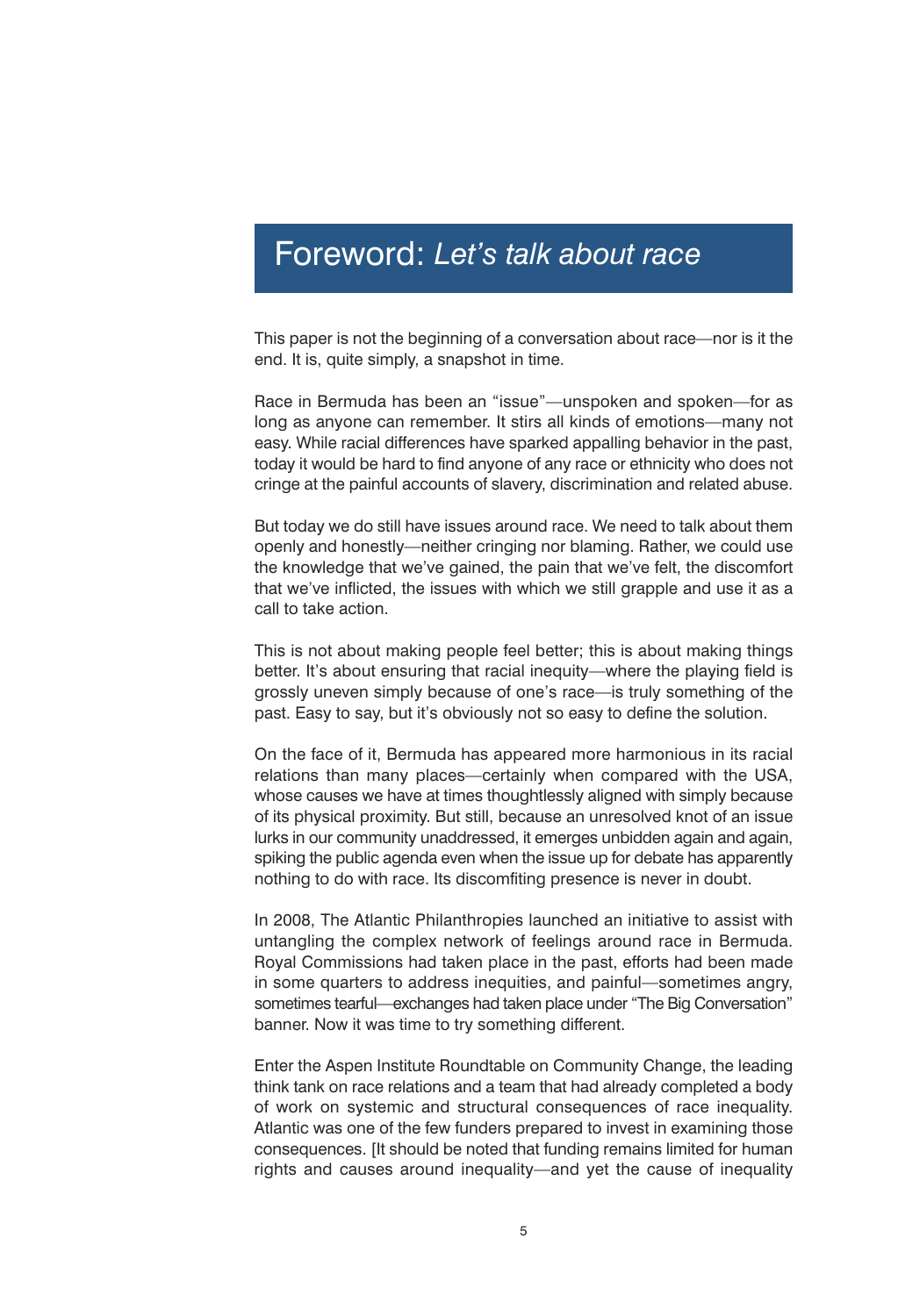### Foreword: *Let's talk about race*

This paper is not the beginning of a conversation about race—nor is it the end. It is, quite simply, a snapshot in time.

Race in Bermuda has been an "issue"—unspoken and spoken—for as long as anyone can remember. It stirs all kinds of emotions—many not easy. While racial differences have sparked appalling behavior in the past, today it would be hard to find anyone of any race or ethnicity who does not cringe at the painful accounts of slavery, discrimination and related abuse.

But today we do still have issues around race. We need to talk about them openly and honestly—neither cringing nor blaming. Rather, we could use the knowledge that we've gained, the pain that we've felt, the discomfort that we've inflicted, the issues with which we still grapple and use it as a call to take action.

This is not about making people feel better; this is about making things better. It's about ensuring that racial inequity—where the playing field is grossly uneven simply because of one's race—is truly something of the past. Easy to say, but it's obviously not so easy to define the solution.

On the face of it, Bermuda has appeared more harmonious in its racial relations than many places—certainly when compared with the USA, whose causes we have at times thoughtlessly aligned with simply because of its physical proximity. But still, because an unresolved knot of an issue lurks in our community unaddressed, it emerges unbidden again and again, spiking the public agenda even when the issue up for debate has apparently nothing to do with race. Its discomfiting presence is never in doubt.

In 2008, The Atlantic Philanthropies launched an initiative to assist with untangling the complex network of feelings around race in Bermuda. Royal Commissions had taken place in the past, efforts had been made in some quarters to address inequities, and painful—sometimes angry, sometimes tearful—exchanges had taken place under "The Big Conversation" banner. Now it was time to try something different.

Enter the Aspen Institute Roundtable on Community Change, the leading think tank on race relations and a team that had already completed a body of work on systemic and structural consequences of race inequality. Atlantic was one of the few funders prepared to invest in examining those consequences. [It should be noted that funding remains limited for human rights and causes around inequality—and yet the cause of inequality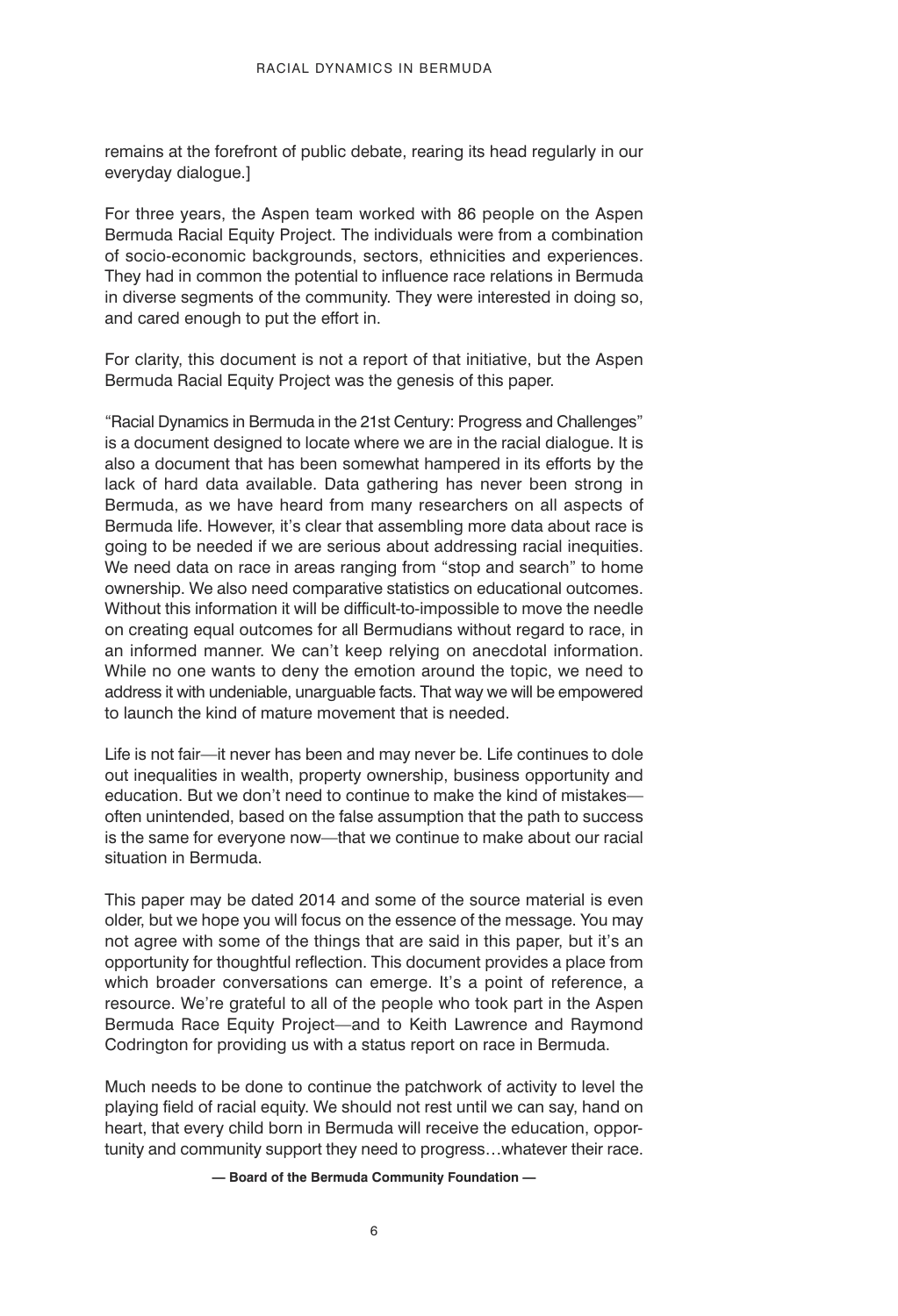remains at the forefront of public debate, rearing its head regularly in our everyday dialogue.]

For three years, the Aspen team worked with 86 people on the Aspen Bermuda Racial Equity Project. The individuals were from a combination of socio-economic backgrounds, sectors, ethnicities and experiences. They had in common the potential to influence race relations in Bermuda in diverse segments of the community. They were interested in doing so, and cared enough to put the effort in.

For clarity, this document is not a report of that initiative, but the Aspen Bermuda Racial Equity Project was the genesis of this paper.

"Racial Dynamics in Bermuda in the 21st Century: Progress and Challenges" is a document designed to locate where we are in the racial dialogue. It is also a document that has been somewhat hampered in its efforts by the lack of hard data available. Data gathering has never been strong in Bermuda, as we have heard from many researchers on all aspects of Bermuda life. However, it's clear that assembling more data about race is going to be needed if we are serious about addressing racial inequities. We need data on race in areas ranging from "stop and search" to home ownership. We also need comparative statistics on educational outcomes. Without this information it will be difficult-to-impossible to move the needle on creating equal outcomes for all Bermudians without regard to race, in an informed manner. We can't keep relying on anecdotal information. While no one wants to deny the emotion around the topic, we need to address it with undeniable, unarguable facts. That way we will be empowered to launch the kind of mature movement that is needed.

Life is not fair—it never has been and may never be. Life continues to dole out inequalities in wealth, property ownership, business opportunity and education. But we don't need to continue to make the kind of mistakes often unintended, based on the false assumption that the path to success is the same for everyone now—that we continue to make about our racial situation in Bermuda.

This paper may be dated 2014 and some of the source material is even older, but we hope you will focus on the essence of the message. You may not agree with some of the things that are said in this paper, but it's an opportunity for thoughtful reflection. This document provides a place from which broader conversations can emerge. It's a point of reference, a resource. We're grateful to all of the people who took part in the Aspen Bermuda Race Equity Project—and to Keith Lawrence and Raymond Codrington for providing us with a status report on race in Bermuda.

Much needs to be done to continue the patchwork of activity to level the playing field of racial equity. We should not rest until we can say, hand on heart, that every child born in Bermuda will receive the education, opportunity and community support they need to progress…whatever their race.

**— Board of the Bermuda Community Foundation —**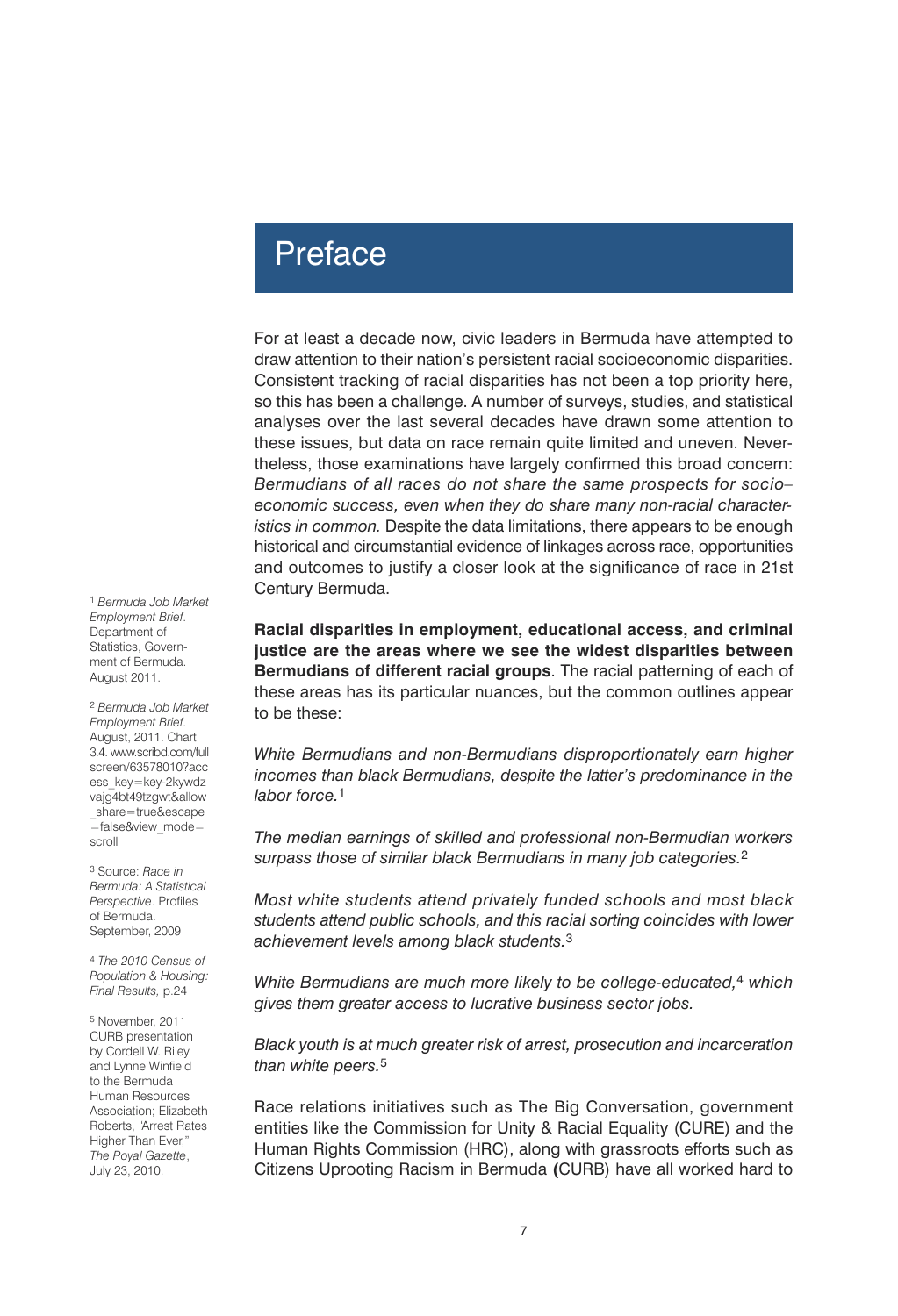### Preface

For at least a decade now, civic leaders in Bermuda have attempted to draw attention to their nation's persistent racial socioeconomic disparities. Consistent tracking of racial disparities has not been a top priority here, so this has been a challenge. A number of surveys, studies, and statistical analyses over the last several decades have drawn some attention to these issues, but data on race remain quite limited and uneven. Nevertheless, those examinations have largely confirmed this broad concern: *Bermudians of all races do not share the same prospects for socio– economic success, even when they do share many non-racial characteristics in common.* Despite the data limitations, there appears to be enough historical and circumstantial evidence of linkages across race, opportunities and outcomes to justify a closer look at the significance of race in 21st Century Bermuda.

**Racial disparities in employment, educational access, and criminal justice are the areas where we see the widest disparities between Bermudians of different racial groups**. The racial patterning of each of these areas has its particular nuances, but the common outlines appear to be these:

*White Bermudians and non-Bermudians disproportionately earn higher incomes than black Bermudians, despite the latter's predominance in the labor force.*<sup>1</sup>

*The median earnings of skilled and professional non-Bermudian workers surpass those of similar black Bermudians in many job categories.*<sup>2</sup>

*Most white students attend privately funded schools and most black students attend public schools, and this racial sorting coincides with lower achievement levels among black students.*<sup>3</sup>

*White Bermudians are much more likely to be college-educated,*<sup>4</sup> *which gives them greater access to lucrative business sector jobs.*

*Black youth is at much greater risk of arrest, prosecution and incarceration than white peers.*<sup>5</sup>

Race relations initiatives such as The Big Conversation, government entities like the Commission for Unity & Racial Equality (CURE) and the Human Rights Commission (HRC), along with grassroots efforts such as Citizens Uprooting Racism in Bermuda **(**CURB) have all worked hard to

<sup>1</sup> *Bermuda Job Market Employment Brief*. Department of Statistics, Government of Bermuda. August 2011.

<sup>2</sup> *Bermuda Job Market Employment Brief*. August, 2011. Chart 3.4. www.scribd.com/full screen/63578010?acc ess\_key=key-2kywdz vajg4bt49tzgwt&allow \_share=true&escape =false&view\_mode= scroll

<sup>3</sup> Source: *Race in Bermuda: A Statistical Perspective*. Profiles of Bermuda. September, 2009

<sup>4</sup> *The 2010 Census of Population & Housing: Final Results,* p.24

<sup>5</sup> November, 2011 CURB presentation by Cordell W. Riley and Lynne Winfield to the Bermuda Human Resources Association; Elizabeth Roberts, "Arrest Rates Higher Than Ever," *The Royal Gazette*, July 23, 2010.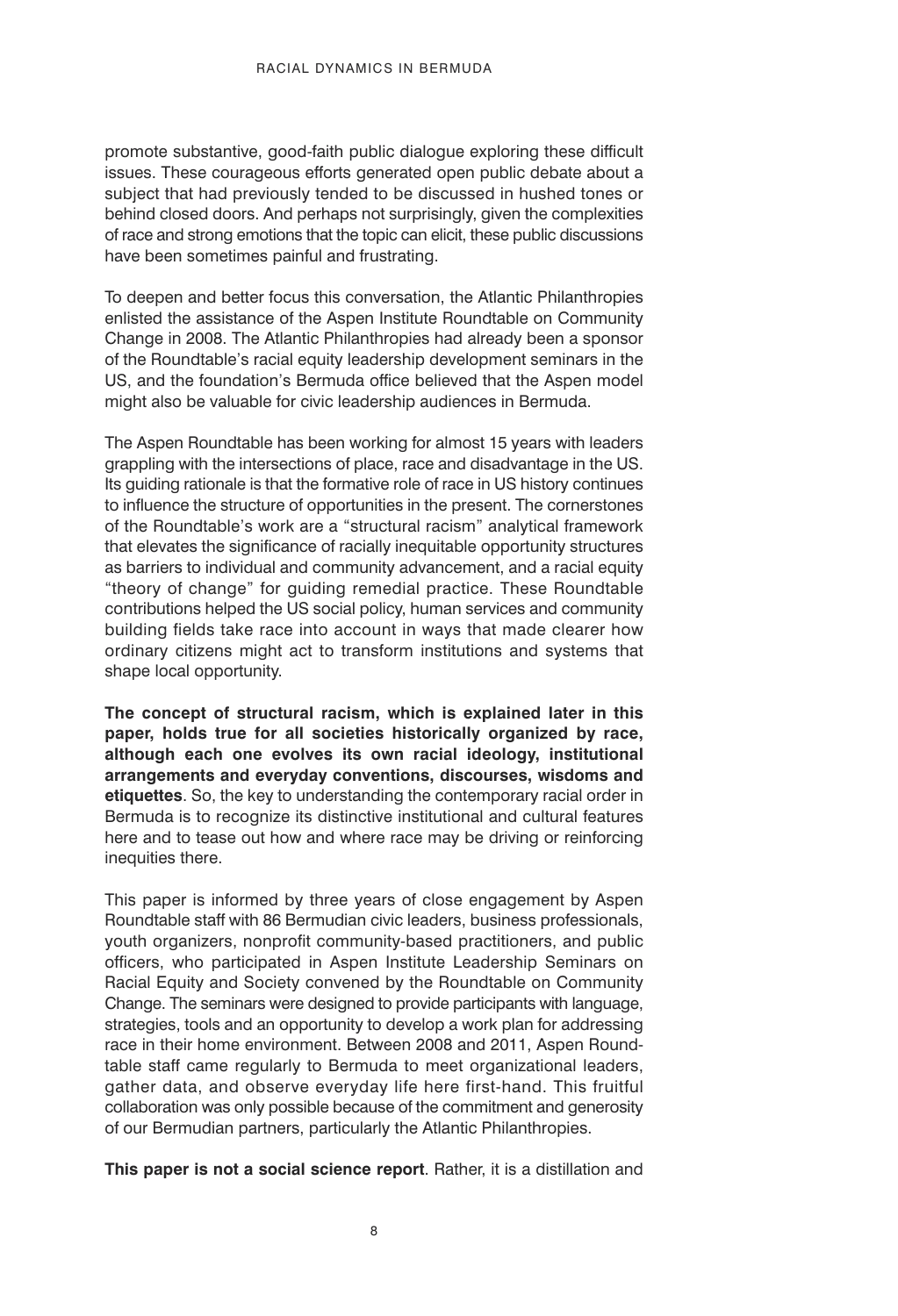promote substantive, good-faith public dialogue exploring these difficult issues. These courageous efforts generated open public debate about a subject that had previously tended to be discussed in hushed tones or behind closed doors. And perhaps not surprisingly, given the complexities of race and strong emotions that the topic can elicit, these public discussions have been sometimes painful and frustrating.

To deepen and better focus this conversation, the Atlantic Philanthropies enlisted the assistance of the Aspen Institute Roundtable on Community Change in 2008. The Atlantic Philanthropies had already been a sponsor of the Roundtable's racial equity leadership development seminars in the US, and the foundation's Bermuda office believed that the Aspen model might also be valuable for civic leadership audiences in Bermuda.

The Aspen Roundtable has been working for almost 15 years with leaders grappling with the intersections of place, race and disadvantage in the US. Its guiding rationale is that the formative role of race in US history continues to influence the structure of opportunities in the present. The cornerstones of the Roundtable's work are a "structural racism" analytical framework that elevates the significance of racially inequitable opportunity structures as barriers to individual and community advancement, and a racial equity "theory of change" for guiding remedial practice. These Roundtable contributions helped the US social policy, human services and community building fields take race into account in ways that made clearer how ordinary citizens might act to transform institutions and systems that shape local opportunity.

**The concept of structural racism, which is explained later in this paper, holds true for all societies historically organized by race, although each one evolves its own racial ideology, institutional arrangements and everyday conventions, discourses, wisdoms and etiquettes**. So, the key to understanding the contemporary racial order in Bermuda is to recognize its distinctive institutional and cultural features here and to tease out how and where race may be driving or reinforcing inequities there.

This paper is informed by three years of close engagement by Aspen Roundtable staff with 86 Bermudian civic leaders, business professionals, youth organizers, nonprofit community-based practitioners, and public officers, who participated in Aspen Institute Leadership Seminars on Racial Equity and Society convened by the Roundtable on Community Change. The seminars were designed to provide participants with language, strategies, tools and an opportunity to develop a work plan for addressing race in their home environment. Between 2008 and 2011, Aspen Roundtable staff came regularly to Bermuda to meet organizational leaders, gather data, and observe everyday life here first-hand. This fruitful collaboration was only possible because of the commitment and generosity of our Bermudian partners, particularly the Atlantic Philanthropies.

**This paper is not a social science report**. Rather, it is a distillation and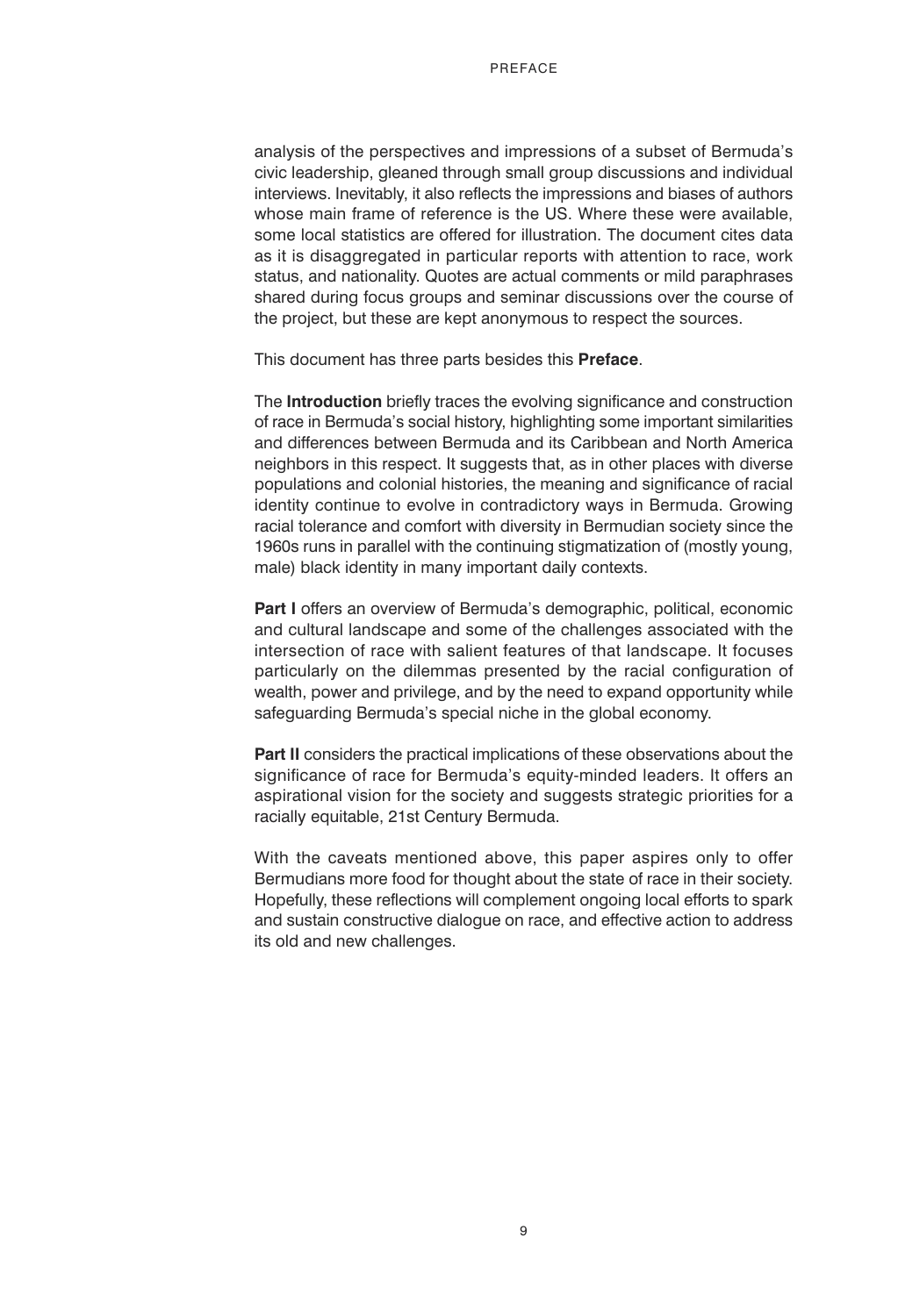analysis of the perspectives and impressions of a subset of Bermuda's civic leadership, gleaned through small group discussions and individual interviews. Inevitably, it also reflects the impressions and biases of authors whose main frame of reference is the US. Where these were available, some local statistics are offered for illustration. The document cites data as it is disaggregated in particular reports with attention to race, work status, and nationality. Quotes are actual comments or mild paraphrases shared during focus groups and seminar discussions over the course of the project, but these are kept anonymous to respect the sources.

This document has three parts besides this **Preface**.

The **Introduction** briefly traces the evolving significance and construction of race in Bermuda's social history, highlighting some important similarities and differences between Bermuda and its Caribbean and North America neighbors in this respect. It suggests that, as in other places with diverse populations and colonial histories, the meaning and significance of racial identity continue to evolve in contradictory ways in Bermuda. Growing racial tolerance and comfort with diversity in Bermudian society since the 1960s runs in parallel with the continuing stigmatization of (mostly young, male) black identity in many important daily contexts.

**Part I** offers an overview of Bermuda's demographic, political, economic and cultural landscape and some of the challenges associated with the intersection of race with salient features of that landscape. It focuses particularly on the dilemmas presented by the racial configuration of wealth, power and privilege, and by the need to expand opportunity while safeguarding Bermuda's special niche in the global economy.

**Part II** considers the practical implications of these observations about the significance of race for Bermuda's equity-minded leaders. It offers an aspirational vision for the society and suggests strategic priorities for a racially equitable, 21st Century Bermuda.

With the caveats mentioned above, this paper aspires only to offer Bermudians more food for thought about the state of race in their society. Hopefully, these reflections will complement ongoing local efforts to spark and sustain constructive dialogue on race, and effective action to address its old and new challenges.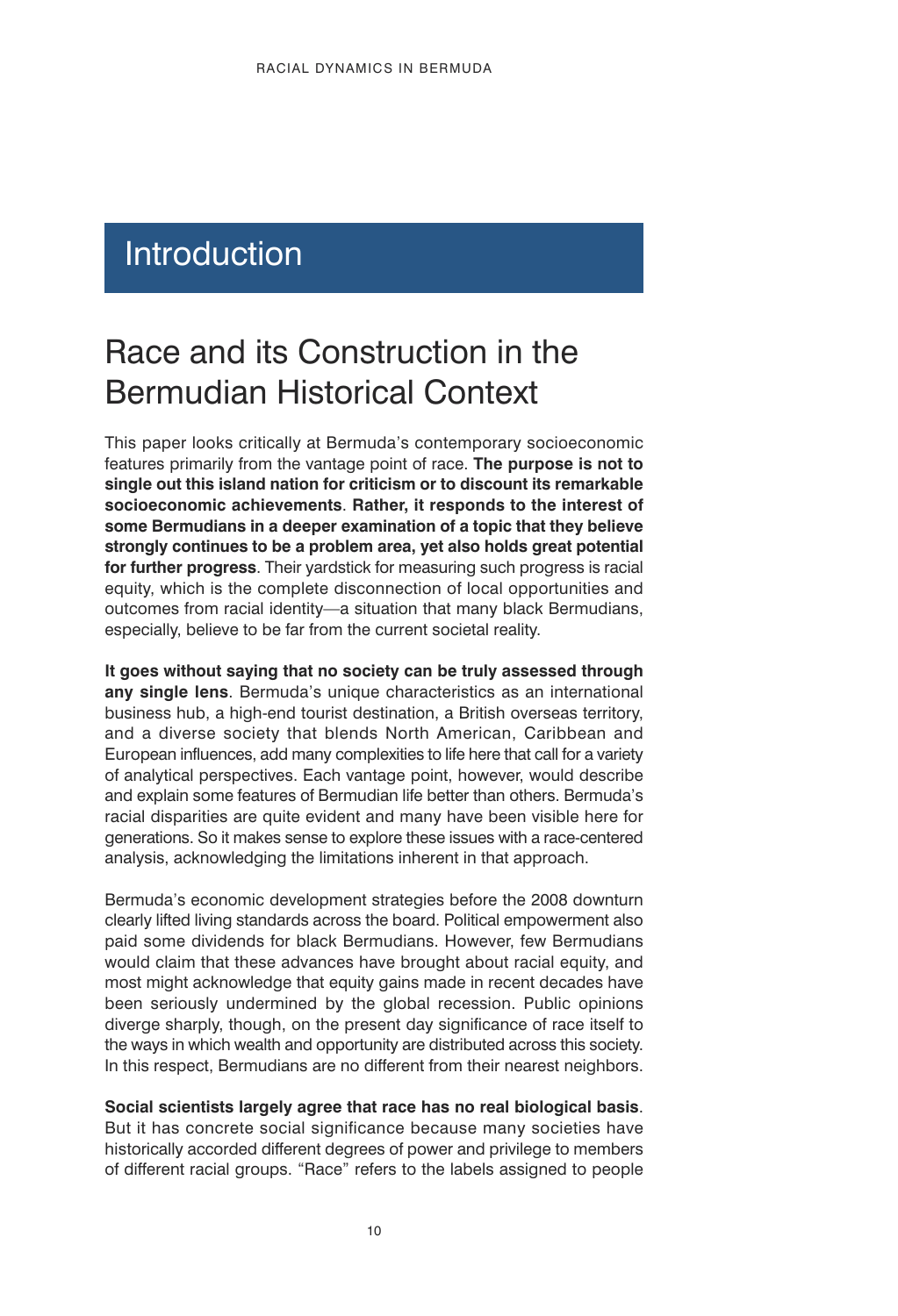# Introduction

# Race and its Construction in the Bermudian Historical Context

This paper looks critically at Bermuda's contemporary socioeconomic features primarily from the vantage point of race. **The purpose is not to single out this island nation for criticism or to discount its remarkable socioeconomic achievements**. **Rather, it responds to the interest of some Bermudians in a deeper examination of a topic that they believe strongly continues to be a problem area, yet also holds great potential for further progress**. Their yardstick for measuring such progress is racial equity, which is the complete disconnection of local opportunities and outcomes from racial identity—a situation that many black Bermudians, especially, believe to be far from the current societal reality.

**It goes without saying that no society can be truly assessed through any single lens**. Bermuda's unique characteristics as an international business hub, a high-end tourist destination, a British overseas territory, and a diverse society that blends North American, Caribbean and European influences, add many complexities to life here that call for a variety of analytical perspectives. Each vantage point, however, would describe and explain some features of Bermudian life better than others. Bermuda's racial disparities are quite evident and many have been visible here for generations. So it makes sense to explore these issues with a race-centered analysis, acknowledging the limitations inherent in that approach.

Bermuda's economic development strategies before the 2008 downturn clearly lifted living standards across the board. Political empowerment also paid some dividends for black Bermudians. However, few Bermudians would claim that these advances have brought about racial equity, and most might acknowledge that equity gains made in recent decades have been seriously undermined by the global recession. Public opinions diverge sharply, though, on the present day significance of race itself to the ways in which wealth and opportunity are distributed across this society. In this respect, Bermudians are no different from their nearest neighbors.

### **Social scientists largely agree that race has no real biological basis**.

But it has concrete social significance because many societies have historically accorded different degrees of power and privilege to members of different racial groups. "Race" refers to the labels assigned to people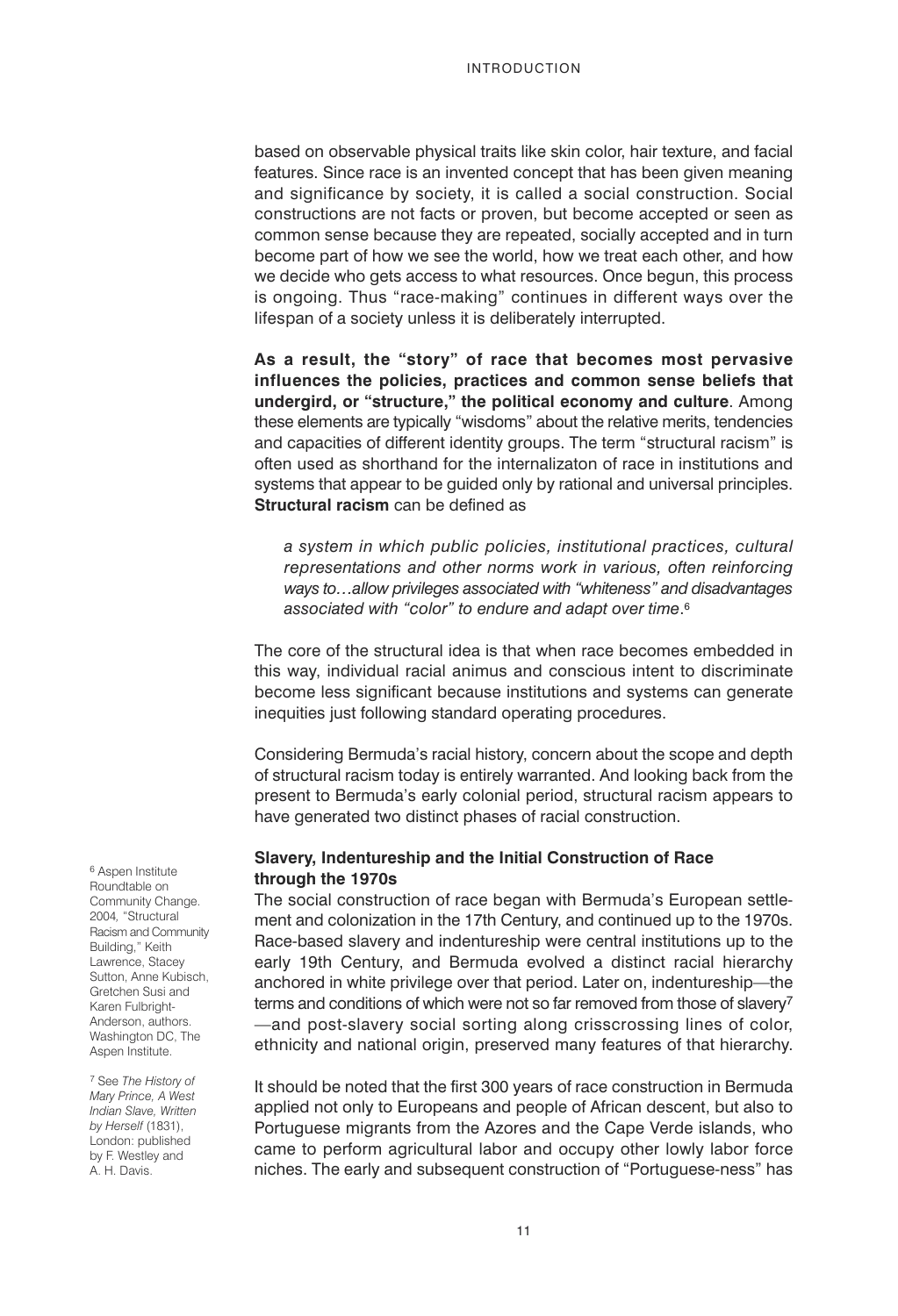based on observable physical traits like skin color, hair texture, and facial features. Since race is an invented concept that has been given meaning and significance by society, it is called a social construction. Social constructions are not facts or proven, but become accepted or seen as common sense because they are repeated, socially accepted and in turn become part of how we see the world, how we treat each other, and how we decide who gets access to what resources. Once begun, this process is ongoing. Thus "race-making" continues in different ways over the lifespan of a society unless it is deliberately interrupted.

**As a result, the "story" of race that becomes most pervasive influences the policies, practices and common sense beliefs that undergird, or "structure," the political economy and culture**. Among these elements are typically "wisdoms" about the relative merits, tendencies and capacities of different identity groups. The term "structural racism" is often used as shorthand for the internalizaton of race in institutions and systems that appear to be guided only by rational and universal principles. **Structural racism** can be defined as

*a system in which public policies, institutional practices, cultural representations and other norms work in various, often reinforcing ways to…allow privileges associated with "whiteness" and disadvantages associated with "color" to endure and adapt over time*. 6

The core of the structural idea is that when race becomes embedded in this way, individual racial animus and conscious intent to discriminate become less significant because institutions and systems can generate inequities just following standard operating procedures.

Considering Bermuda's racial history, concern about the scope and depth of structural racism today is entirely warranted. And looking back from the present to Bermuda's early colonial period, structural racism appears to have generated two distinct phases of racial construction.

### **Slavery, Indentureship and the Initial Construction of Race through the 1970s**

The social construction of race began with Bermuda's European settlement and colonization in the 17th Century, and continued up to the 1970s. Race-based slavery and indentureship were central institutions up to the early 19th Century, and Bermuda evolved a distinct racial hierarchy anchored in white privilege over that period. Later on, indentureship—the terms and conditions of which were not so far removed from those of slavery<sup>7</sup> —and post-slavery social sorting along crisscrossing lines of color, ethnicity and national origin, preserved many features of that hierarchy.

It should be noted that the first 300 years of race construction in Bermuda applied not only to Europeans and people of African descent, but also to Portuguese migrants from the Azores and the Cape Verde islands, who came to perform agricultural labor and occupy other lowly labor force niches. The early and subsequent construction of "Portuguese-ness" has

<sup>6</sup> Aspen Institute Roundtable on Community Change. 2004*,* "Structural Racism and Community Building," Keith Lawrence, Stacey Sutton, Anne Kubisch, Gretchen Susi and Karen Fulbright-Anderson, authors. Washington DC, The Aspen Institute.

<sup>7</sup> See *The History of Mary Prince, A West Indian Slave, Written by Herself* (1831), London: published by F. Westley and A. H. Davis.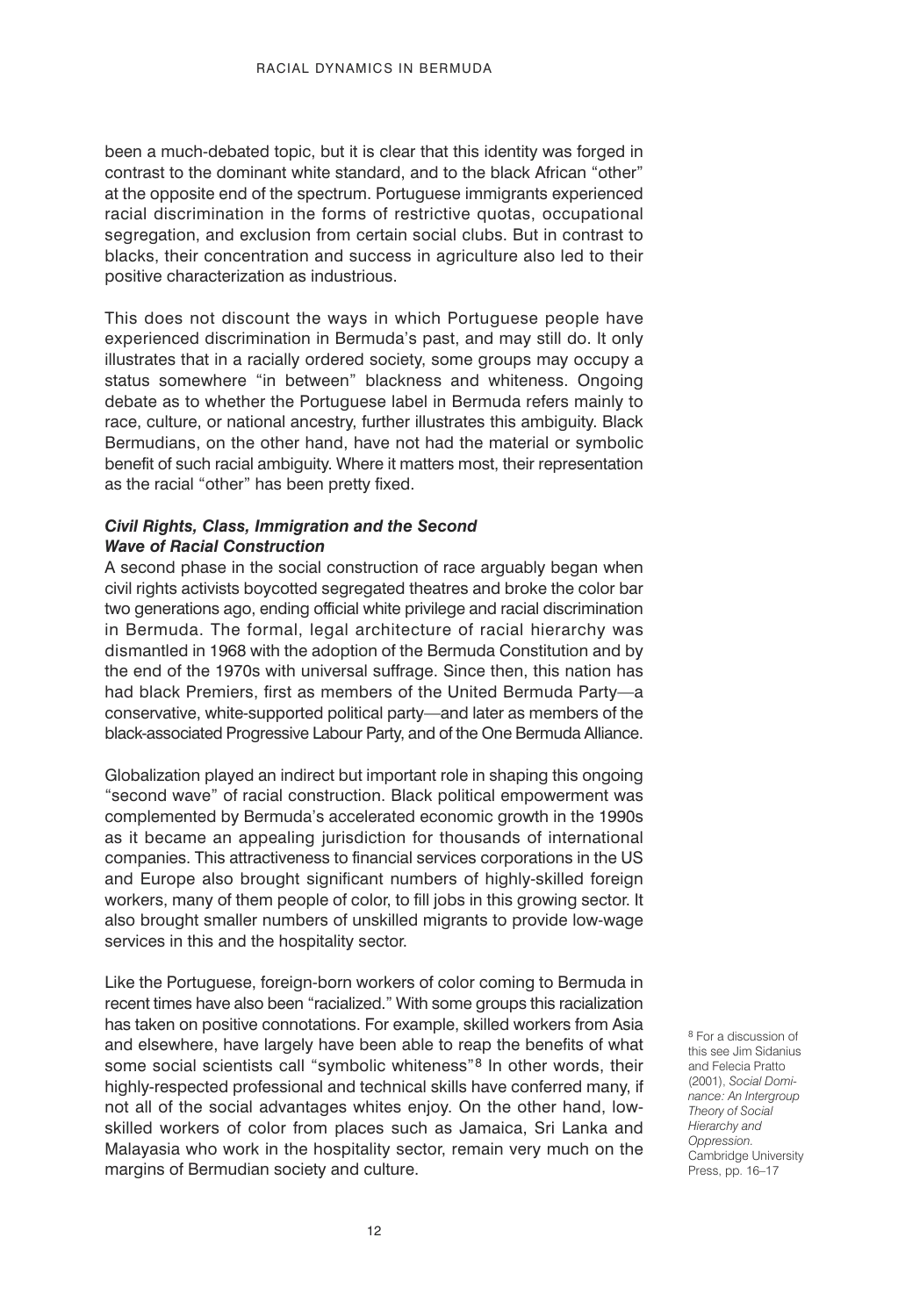been a much-debated topic, but it is clear that this identity was forged in contrast to the dominant white standard, and to the black African "other" at the opposite end of the spectrum. Portuguese immigrants experienced racial discrimination in the forms of restrictive quotas, occupational segregation, and exclusion from certain social clubs. But in contrast to blacks, their concentration and success in agriculture also led to their positive characterization as industrious.

This does not discount the ways in which Portuguese people have experienced discrimination in Bermuda's past, and may still do. It only illustrates that in a racially ordered society, some groups may occupy a status somewhere "in between" blackness and whiteness. Ongoing debate as to whether the Portuguese label in Bermuda refers mainly to race, culture, or national ancestry, further illustrates this ambiguity. Black Bermudians, on the other hand, have not had the material or symbolic benefit of such racial ambiguity. Where it matters most, their representation as the racial "other" has been pretty fixed.

### *Civil Rights, Class, Immigration and the Second Wave of Racial Construction*

A second phase in the social construction of race arguably began when civil rights activists boycotted segregated theatres and broke the color bar two generations ago, ending official white privilege and racial discrimination in Bermuda. The formal, legal architecture of racial hierarchy was dismantled in 1968 with the adoption of the Bermuda Constitution and by the end of the 1970s with universal suffrage. Since then, this nation has had black Premiers, first as members of the United Bermuda Party—a conservative, white-supported political party—and later as members of the black-associated Progressive Labour Party, and of the One Bermuda Alliance.

Globalization played an indirect but important role in shaping this ongoing "second wave" of racial construction. Black political empowerment was complemented by Bermuda's accelerated economic growth in the 1990s as it became an appealing jurisdiction for thousands of international companies. This attractiveness to financial services corporations in the US and Europe also brought significant numbers of highly-skilled foreign workers, many of them people of color, to fill jobs in this growing sector. It also brought smaller numbers of unskilled migrants to provide low-wage services in this and the hospitality sector.

Like the Portuguese, foreign-born workers of color coming to Bermuda in recent times have also been "racialized." With some groups this racialization has taken on positive connotations. For example, skilled workers from Asia and elsewhere, have largely have been able to reap the benefits of what some social scientists call "symbolic whiteness"<sup>8</sup> In other words, their highly-respected professional and technical skills have conferred many, if not all of the social advantages whites enjoy. On the other hand, lowskilled workers of color from places such as Jamaica, Sri Lanka and Malayasia who work in the hospitality sector, remain very much on the margins of Bermudian society and culture.

<sup>8</sup> For a discussion of this see Jim Sidanius and Felecia Pratto (2001), *Social Dominance: An Intergroup Theory of Social Hierarchy and Oppression.* Cambridge University Press, pp. 16–17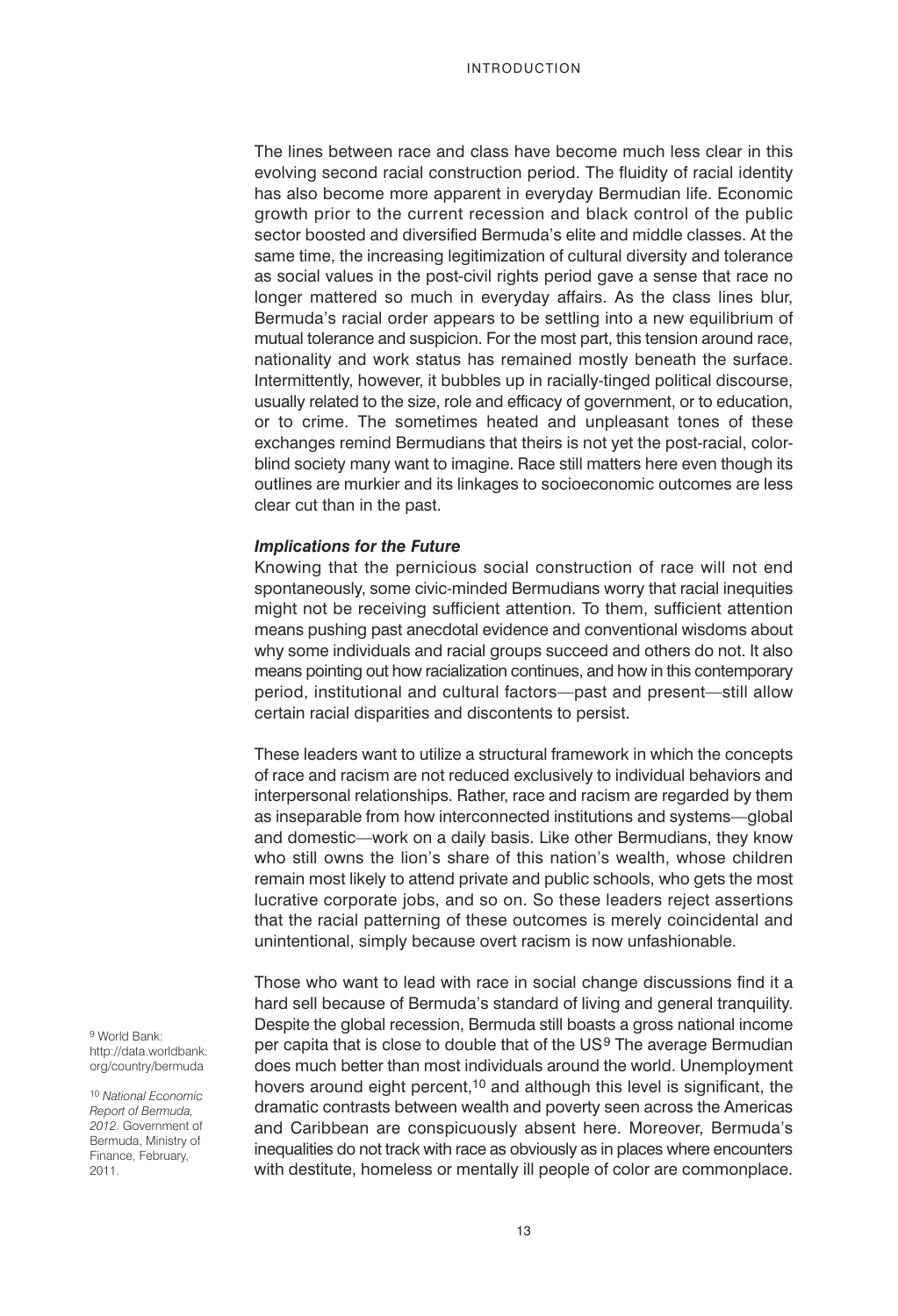The lines between race and class have become much less clear in this evolving second racial construction period. The fluidity of racial identity has also become more apparent in everyday Bermudian life. Economic growth prior to the current recession and black control of the public sector boosted and diversified Bermuda's elite and middle classes. At the same time, the increasing legitimization of cultural diversity and tolerance as social values in the post-civil rights period gave a sense that race no longer mattered so much in everyday affairs. As the class lines blur, Bermuda's racial order appears to be settling into a new equilibrium of mutual tolerance and suspicion. For the most part, this tension around race, nationality and work status has remained mostly beneath the surface. Intermittently, however, it bubbles up in racially-tinged political discourse, usually related to the size, role and efficacy of government, or to education, or to crime. The sometimes heated and unpleasant tones of these exchanges remind Bermudians that theirs is not yet the post-racial, colorblind society many want to imagine. Race still matters here even though its outlines are murkier and its linkages to socioeconomic outcomes are less clear cut than in the past.

### *Implications for the Future*

Knowing that the pernicious social construction of race will not end spontaneously, some civic-minded Bermudians worry that racial inequities might not be receiving sufficient attention. To them, sufficient attention means pushing past anecdotal evidence and conventional wisdoms about why some individuals and racial groups succeed and others do not. It also means pointing out how racialization continues, and how in this contemporary period, institutional and cultural factors—past and present—still allow certain racial disparities and discontents to persist.

These leaders want to utilize a structural framework in which the concepts of race and racism are not reduced exclusively to individual behaviors and interpersonal relationships. Rather, race and racism are regarded by them as inseparable from how interconnected institutions and systems—global and domestic—work on a daily basis. Like other Bermudians, they know who still owns the lion's share of this nation's wealth, whose children remain most likely to attend private and public schools, who gets the most lucrative corporate jobs, and so on. So these leaders reject assertions that the racial patterning of these outcomes is merely coincidental and unintentional, simply because overt racism is now unfashionable.

Those who want to lead with race in social change discussions find it a hard sell because of Bermuda's standard of living and general tranquility. Despite the global recession, Bermuda still boasts a gross national income per capita that is close to double that of the US<sup>9</sup> The average Bermudian does much better than most individuals around the world. Unemployment hovers around eight percent,<sup>10</sup> and although this level is significant, the dramatic contrasts between wealth and poverty seen across the Americas and Caribbean are conspicuously absent here. Moreover, Bermuda's inequalities do not track with race as obviously as in places where encounters with destitute, homeless or mentally ill people of color are commonplace.

<sup>9</sup> World Bank: http://data.worldbank. org/country/bermuda

<sup>10</sup> *National Economic Report of Bermuda, 2012*. Government of Bermuda, Ministry of Finance, February, 2011.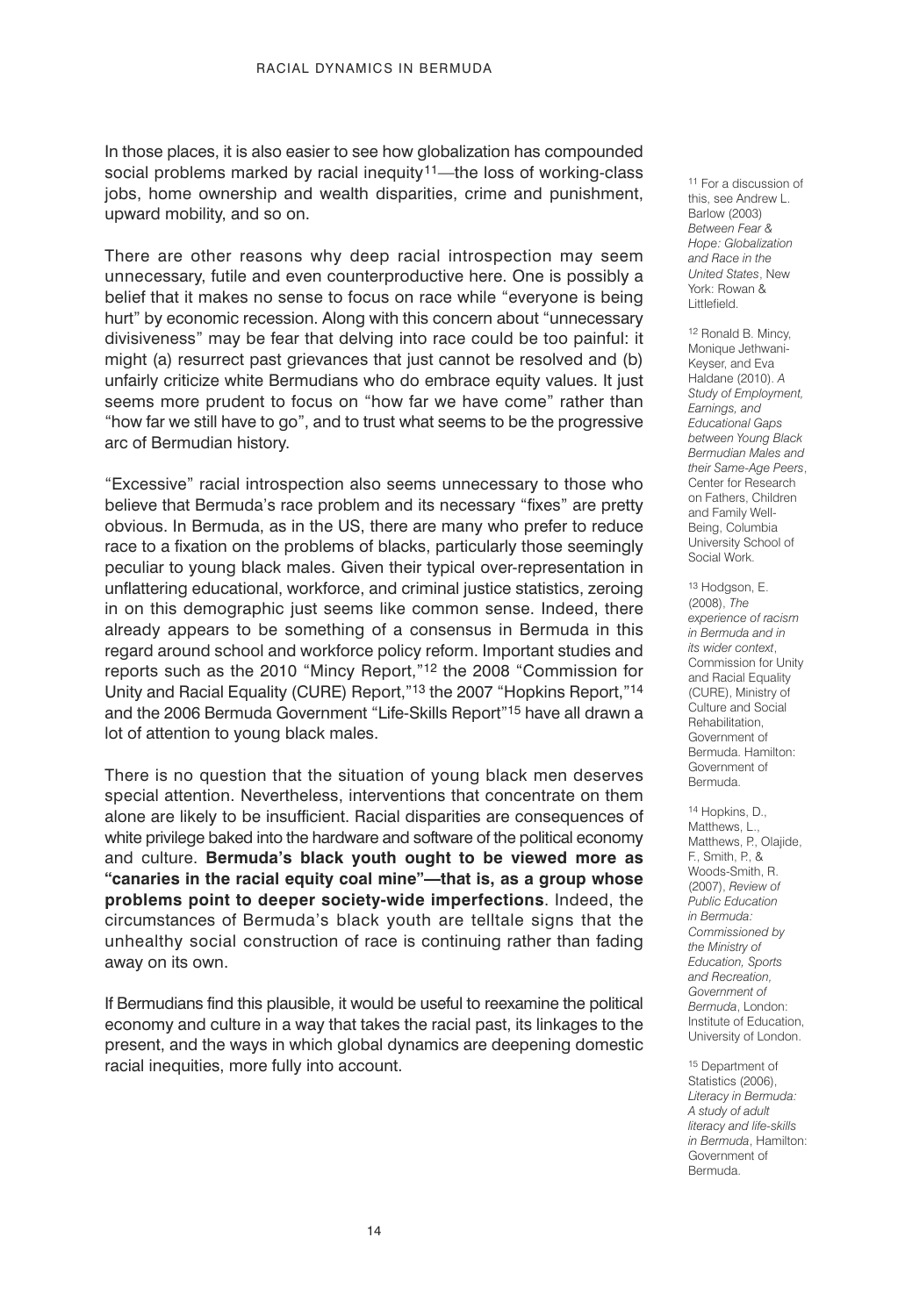In those places, it is also easier to see how globalization has compounded social problems marked by racial inequity<sup>11</sup>—the loss of working-class jobs, home ownership and wealth disparities, crime and punishment, upward mobility, and so on.

There are other reasons why deep racial introspection may seem unnecessary, futile and even counterproductive here. One is possibly a belief that it makes no sense to focus on race while "everyone is being hurt" by economic recession. Along with this concern about "unnecessary divisiveness" may be fear that delving into race could be too painful: it might (a) resurrect past grievances that just cannot be resolved and (b) unfairly criticize white Bermudians who do embrace equity values. It just seems more prudent to focus on "how far we have come" rather than "how far we still have to go", and to trust what seems to be the progressive arc of Bermudian history.

"Excessive" racial introspection also seems unnecessary to those who believe that Bermuda's race problem and its necessary "fixes" are pretty obvious. In Bermuda, as in the US, there are many who prefer to reduce race to a fixation on the problems of blacks, particularly those seemingly peculiar to young black males. Given their typical over-representation in unflattering educational, workforce, and criminal justice statistics, zeroing in on this demographic just seems like common sense. Indeed, there already appears to be something of a consensus in Bermuda in this regard around school and workforce policy reform. Important studies and reports such as the 2010 "Mincy Report,"12 the 2008 "Commission for Unity and Racial Equality (CURE) Report,"13 the 2007 "Hopkins Report,"14 and the 2006 Bermuda Government "Life-Skills Report"15 have all drawn a lot of attention to young black males.

There is no question that the situation of young black men deserves special attention. Nevertheless, interventions that concentrate on them alone are likely to be insufficient. Racial disparities are consequences of white privilege baked into the hardware and software of the political economy and culture. **Bermuda's black youth ought to be viewed more as "canaries in the racial equity coal mine"—that is, as a group whose problems point to deeper society-wide imperfections**. Indeed, the circumstances of Bermuda's black youth are telltale signs that the unhealthy social construction of race is continuing rather than fading away on its own.

If Bermudians find this plausible, it would be useful to reexamine the political economy and culture in a way that takes the racial past, its linkages to the present, and the ways in which global dynamics are deepening domestic racial inequities, more fully into account.

<sup>11</sup> For a discussion of this, see Andrew L. Barlow (2003) *Between Fear & Hope: Globalization and Race in the United States*, New York: Rowan & Littlefield.

<sup>12</sup> Ronald B. Mincy, Monique Jethwani-Keyser, and Eva Haldane (2010). *A Study of Employment, Earnings, and Educational Gaps between Young Black Bermudian Males and their Same-Age Peers*, Center for Research on Fathers, Children and Family Well-Being, Columbia University School of Social Work.

13 Hodgson, E. (2008), *The experience of racism in Bermuda and in its wider context*, Commission for Unity and Racial Equality (CURE), Ministry of Culture and Social **Rehabilitation** Government of Bermuda. Hamilton: Government of Bermuda.

<sup>14</sup> Hopkins, D., Matthews, L., Matthews, P., Olajide, F., Smith, P., & Woods-Smith, R. (2007), *Review of Public Education in Bermuda: Commissioned by the Ministry of Education, Sports and Recreation, Government of Bermuda*, London: Institute of Education, University of London.

<sup>15</sup> Department of Statistics (2006), *Literacy in Bermuda: A study of adult literacy and life-skills in Bermuda*, Hamilton: Government of Bermuda.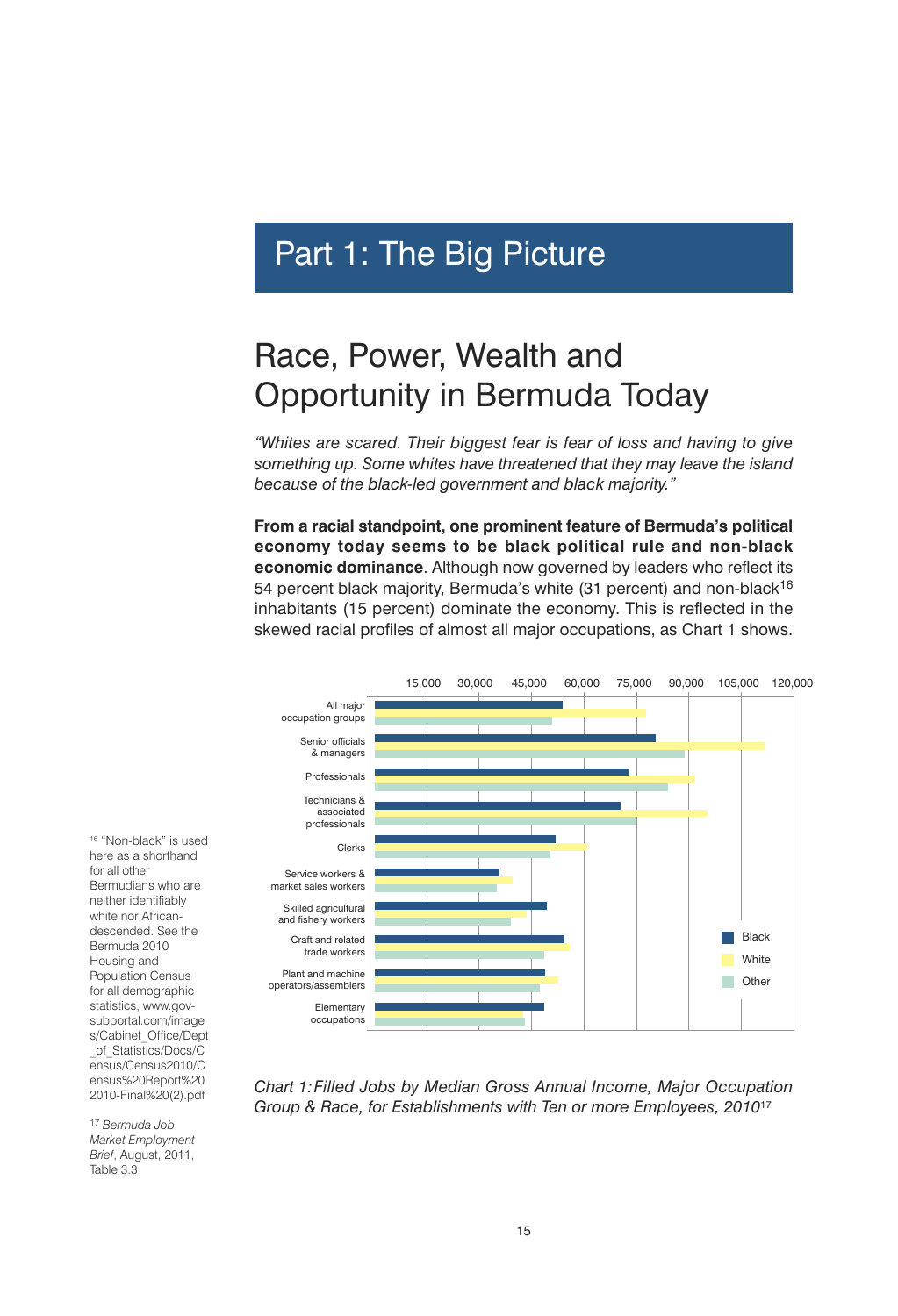### Part 1: The Big Picture

# Race, Power, Wealth and Opportunity in Bermuda Today

*"Whites are scared. Their biggest fear is fear of loss and having to give something up. Some whites have threatened that they may leave the island because of the black-led government and black majority."*

**From a racial standpoint, one prominent feature of Bermuda's political economy today seems to be black political rule and non-black economic dominance**. Although now governed by leaders who reflect its 54 percent black majority, Bermuda's white (31 percent) and non-black16 inhabitants (15 percent) dominate the economy. This is reflected in the skewed racial profiles of almost all major occupations, as Chart 1 shows.



*Chart 1:Filled Jobs by Median Gross Annual Income, Major Occupation Group & Race, for Establishments with Ten or more Employees, 2010*<sup>17</sup>

here as a shorthand for all other Bermudians who are neither identifiably white nor Africandescended. See the Bermuda 2010 Housing and Population Census for all demographic statistics, www.govsubportal.com/image s/Cabinet\_Office/Dept \_of\_Statistics/Docs/C ensus/Census2010/C ensus%20Report%20 2010-Final%20(2).pdf

<sup>16</sup> "Non-black" is used

<sup>17</sup> *Bermuda Job Market Employment Brief*, August, 2011, Table 3.3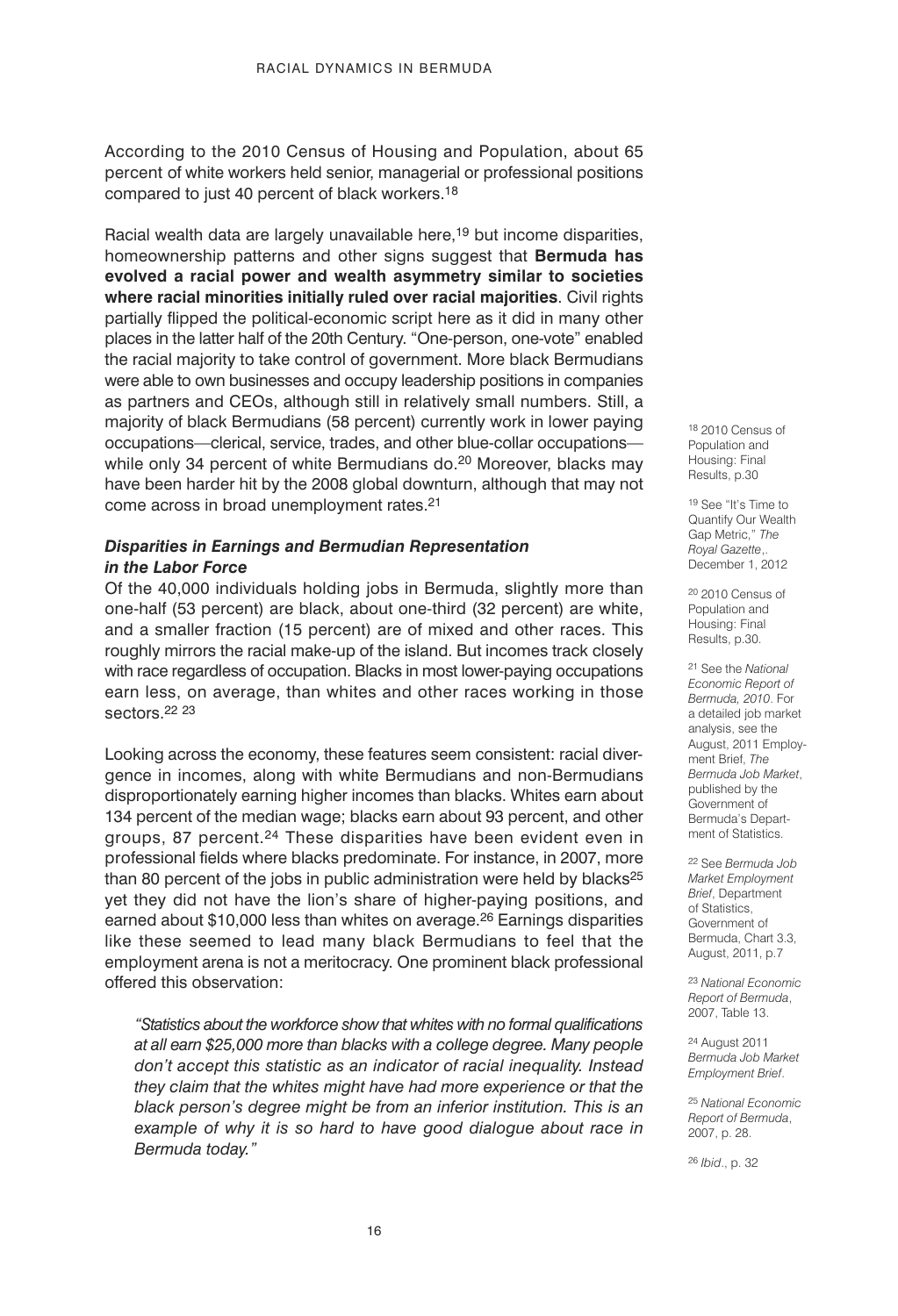According to the 2010 Census of Housing and Population, about 65 percent of white workers held senior, managerial or professional positions compared to just 40 percent of black workers.18

Racial wealth data are largely unavailable here,<sup>19</sup> but income disparities, homeownership patterns and other signs suggest that **Bermuda has evolved a racial power and wealth asymmetry similar to societies where racial minorities initially ruled over racial majorities**. Civil rights partially flipped the political-economic script here as it did in many other places in the latter half of the 20th Century. "One-person, one-vote" enabled the racial majority to take control of government. More black Bermudians were able to own businesses and occupy leadership positions in companies as partners and CEOs, although still in relatively small numbers. Still, a majority of black Bermudians (58 percent) currently work in lower paying occupations—clerical, service, trades, and other blue-collar occupations while only 34 percent of white Bermudians do.<sup>20</sup> Moreover, blacks may have been harder hit by the 2008 global downturn, although that may not come across in broad unemployment rates.21

### *Disparities in Earnings and Bermudian Representation in the Labor Force*

Of the 40,000 individuals holding jobs in Bermuda, slightly more than one-half (53 percent) are black, about one-third (32 percent) are white, and a smaller fraction (15 percent) are of mixed and other races. This roughly mirrors the racial make-up of the island. But incomes track closely with race regardless of occupation. Blacks in most lower-paying occupations earn less, on average, than whites and other races working in those sectors.22 <sup>23</sup>

Looking across the economy, these features seem consistent: racial divergence in incomes, along with white Bermudians and non-Bermudians disproportionately earning higher incomes than blacks. Whites earn about 134 percent of the median wage; blacks earn about 93 percent, and other groups, 87 percent.<sup>24</sup> These disparities have been evident even in professional fields where blacks predominate. For instance, in 2007, more than 80 percent of the jobs in public administration were held by blacks $25$ yet they did not have the lion's share of higher-paying positions, and earned about \$10,000 less than whites on average.<sup>26</sup> Earnings disparities like these seemed to lead many black Bermudians to feel that the employment arena is not a meritocracy. One prominent black professional offered this observation:

*"Statistics about the workforce show that whites with no formal qualifications at all earn \$25,000 more than blacks with a college degree. Many people don't accept this statistic as an indicator of racial inequality. Instead they claim that the whites might have had more experience or that the black person's degree might be from an inferior institution. This is an example of why it is so hard to have good dialogue about race in Bermuda today."*

<sup>18</sup> 2010 Census of Population and Housing: Final Results, p.30

<sup>19</sup> See "It's Time to Quantify Our Wealth Gap Metric," *The Royal Gazette*,. December 1, 2012

<sup>20</sup> 2010 Census of Population and Housing: Final Results, p.30.

<sup>21</sup> See the *National Economic Report of Bermuda, 2010*. For a detailed job market analysis, see the August, 2011 Employment Brief, *The Bermuda Job Market*, published by the Government of Bermuda's Department of Statistics.

<sup>22</sup> See *Bermuda Job Market Employment Brief*, Department of Statistics, Government of Bermuda, Chart 3.3, August, 2011, p.7

<sup>23</sup> *National Economic Report of Bermuda*, 2007, Table 13.

<sup>24</sup> August 2011 *Bermuda Job Market Employment Brief*.

<sup>25</sup> *National Economic Report of Bermuda*, 2007, p. 28.

<sup>26</sup> *Ibid*., p. 32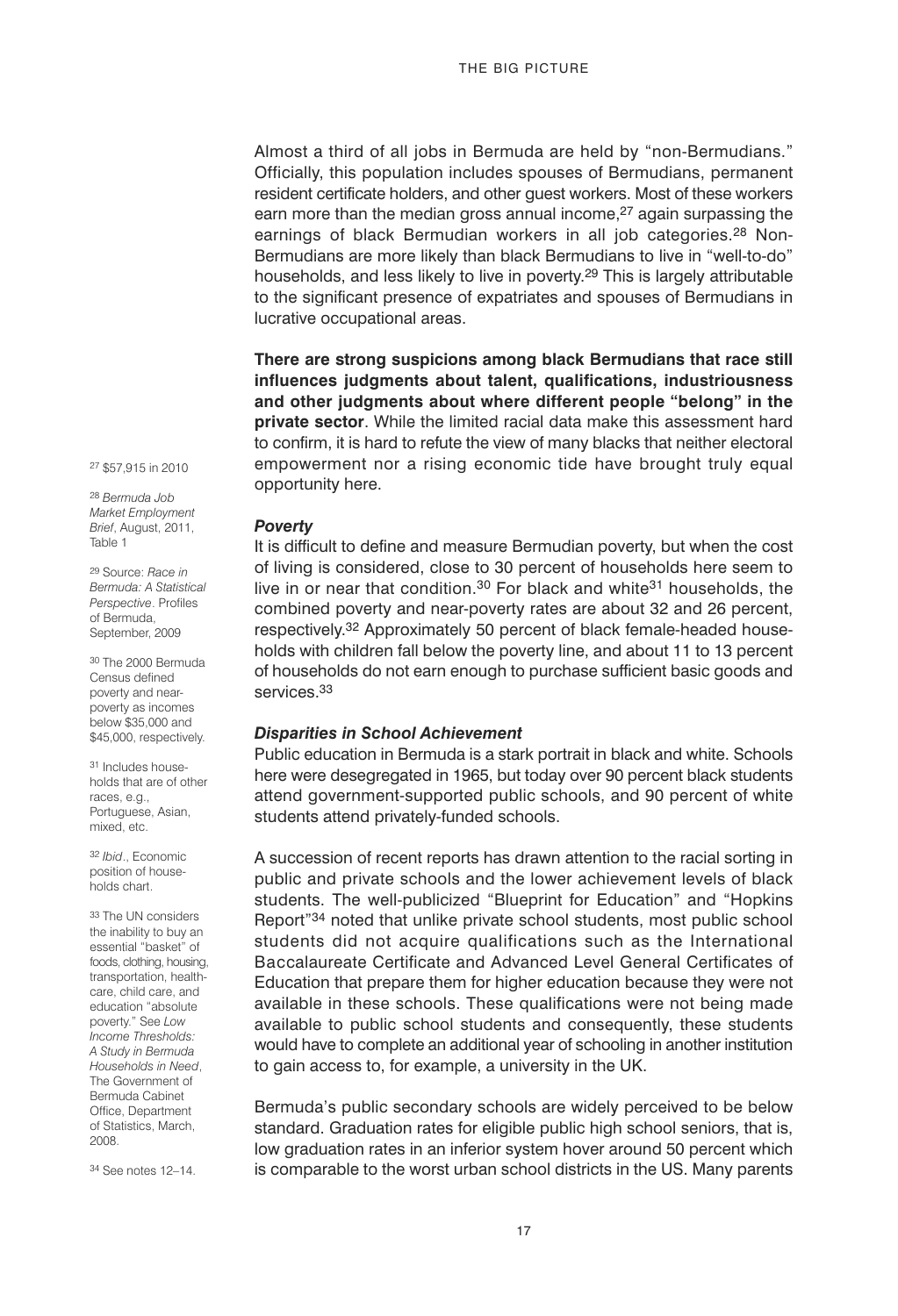Almost a third of all jobs in Bermuda are held by "non-Bermudians." Officially, this population includes spouses of Bermudians, permanent resident certificate holders, and other guest workers. Most of these workers earn more than the median gross annual income, $27$  again surpassing the earnings of black Bermudian workers in all job categories.<sup>28</sup> Non-Bermudians are more likely than black Bermudians to live in "well-to-do" households, and less likely to live in poverty.29 This is largely attributable to the significant presence of expatriates and spouses of Bermudians in lucrative occupational areas.

**There are strong suspicions among black Bermudians that race still influences judgments about talent, qualifications, industriousness and other judgments about where different people "belong" in the private sector**. While the limited racial data make this assessment hard to confirm, it is hard to refute the view of many blacks that neither electoral empowerment nor a rising economic tide have brought truly equal opportunity here.

#### *Poverty*

It is difficult to define and measure Bermudian poverty, but when the cost of living is considered, close to 30 percent of households here seem to live in or near that condition.<sup>30</sup> For black and white<sup>31</sup> households, the combined poverty and near-poverty rates are about 32 and 26 percent, respectively.32 Approximately 50 percent of black female-headed households with children fall below the poverty line, and about 11 to 13 percent of households do not earn enough to purchase sufficient basic goods and services.<sup>33</sup>

### *Disparities in School Achievement*

Public education in Bermuda is a stark portrait in black and white. Schools here were desegregated in 1965, but today over 90 percent black students attend government-supported public schools, and 90 percent of white students attend privately-funded schools.

A succession of recent reports has drawn attention to the racial sorting in public and private schools and the lower achievement levels of black students. The well-publicized "Blueprint for Education" and "Hopkins Report<sup>"34</sup> noted that unlike private school students, most public school students did not acquire qualifications such as the International Baccalaureate Certificate and Advanced Level General Certificates of Education that prepare them for higher education because they were not available in these schools. These qualifications were not being made available to public school students and consequently, these students would have to complete an additional year of schooling in another institution to gain access to, for example, a university in the UK.

Bermuda's public secondary schools are widely perceived to be below standard. Graduation rates for eligible public high school seniors, that is, low graduation rates in an inferior system hover around 50 percent which is comparable to the worst urban school districts in the US. Many parents

<sup>27</sup> \$57,915 in 2010

<sup>28</sup> *Bermuda Job Market Employment Brief*, August, 2011, Table 1

<sup>29</sup> Source: *Race in Bermuda: A Statistical Perspective*. Profiles of Bermuda, September, 2009

<sup>30</sup> The 2000 Bermuda Census defined poverty and nearpoverty as incomes below \$35,000 and \$45,000, respectively.

<sup>31</sup> Includes households that are of other races, e.g., Portuguese, Asian, mixed, etc.

<sup>32</sup> *Ibid*., Economic position of households chart.

<sup>33</sup> The UN considers the inability to buy an essential "basket" of foods, clothing, housing, transportation, healthcare, child care, and education "absolute poverty." See *Low Income Thresholds: A Study in Bermuda Households in Need*, The Government of Bermuda Cabinet Office, Department of Statistics, March, 2008.

<sup>34</sup> See notes 12–14.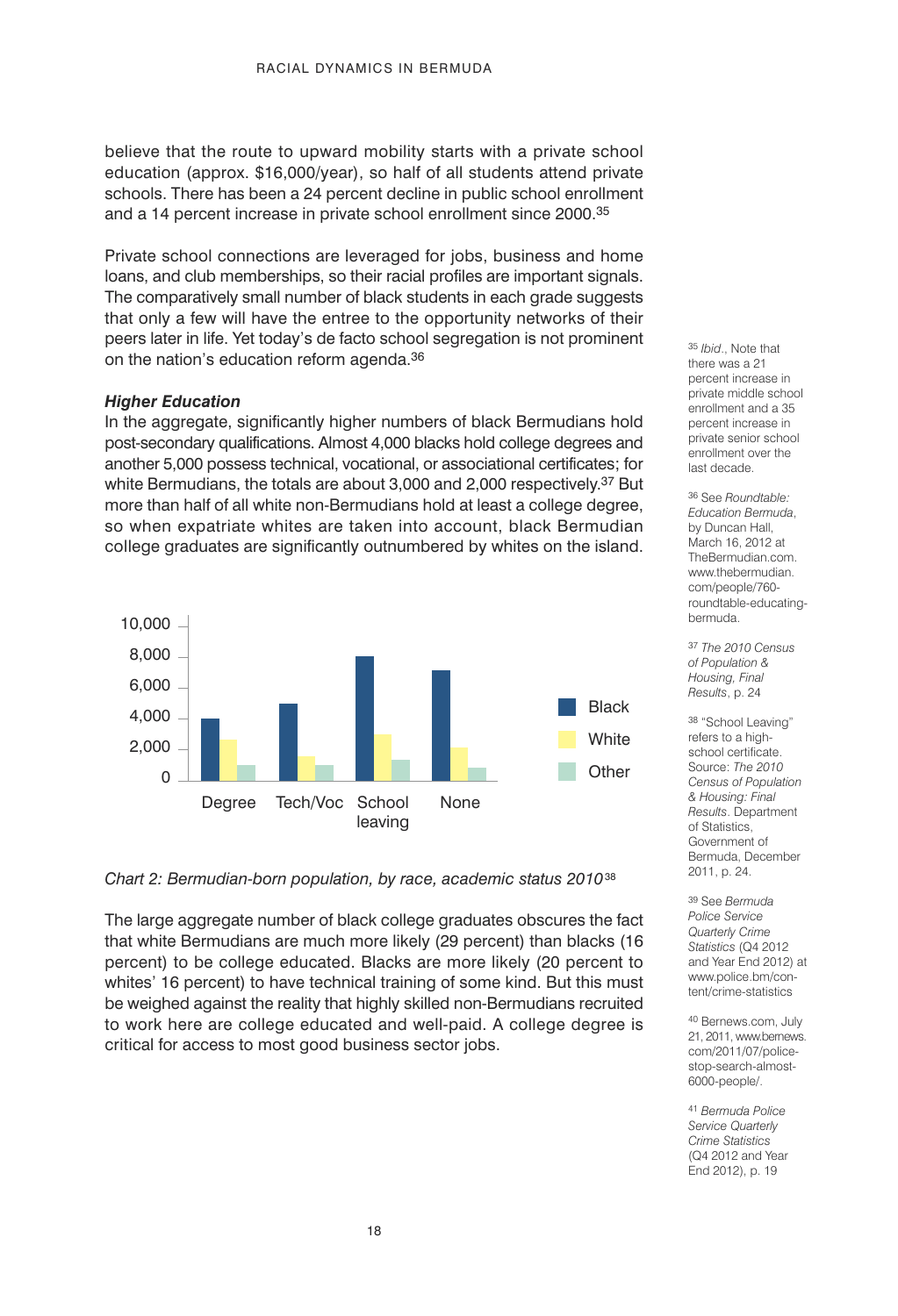believe that the route to upward mobility starts with a private school education (approx. \$16,000/year), so half of all students attend private schools. There has been a 24 percent decline in public school enrollment and a 14 percent increase in private school enrollment since 2000.35

Private school connections are leveraged for jobs, business and home loans, and club memberships, so their racial profiles are important signals. The comparatively small number of black students in each grade suggests that only a few will have the entree to the opportunity networks of their peers later in life. Yet today's de facto school segregation is not prominent on the nation's education reform agenda.<sup>36</sup>

### *Higher Education*

In the aggregate, significantly higher numbers of black Bermudians hold post-secondary qualifications. Almost 4,000 blacks hold college degrees and another 5,000 possess technical, vocational, or associational certificates; for white Bermudians, the totals are about 3,000 and 2,000 respectively.<sup>37</sup> But more than half of all white non-Bermudians hold at least a college degree, so when expatriate whites are taken into account, black Bermudian college graduates are significantly outnumbered by whites on the island.



*Chart 2: Bermudian-born population, by race, academic status 2010*<sup>38</sup>

The large aggregate number of black college graduates obscures the fact that white Bermudians are much more likely (29 percent) than blacks (16 percent) to be college educated. Blacks are more likely (20 percent to whites' 16 percent) to have technical training of some kind. But this must be weighed against the reality that highly skilled non-Bermudians recruited to work here are college educated and well-paid. A college degree is critical for access to most good business sector jobs.

<sup>35</sup> *Ibid*., Note that there was a 21 percent increase in private middle school enrollment and a 35 percent increase in private senior school enrollment over the last decade.

<sup>36</sup> See *Roundtable: Education Bermuda*, by Duncan Hall, March 16, 2012 at TheBermudian.com. www.thebermudian. com/people/760 roundtable-educatingbermuda.

<sup>37</sup> *The 2010 Census of Population & Housing, Final Results*, p. 24

<sup>38</sup> "School Leaving" refers to a highschool certificate. Source: *The 2010 Census of Population & Housing: Final Results*. Department of Statistics, Government of Bermuda, December 2011, p. 24.

<sup>39</sup> See *Bermuda Police Service Quarterly Crime Statistics* (Q4 2012 and Year End 2012) at www.police.bm/content/crime-statistics

<sup>40</sup> Bernews.com, July 21, 2011, www.bernews. com/2011/07/policestop-search-almost-6000-people/.

<sup>41</sup> *Bermuda Police Service Quarterly Crime Statistics* (Q4 2012 and Year End 2012), p. 19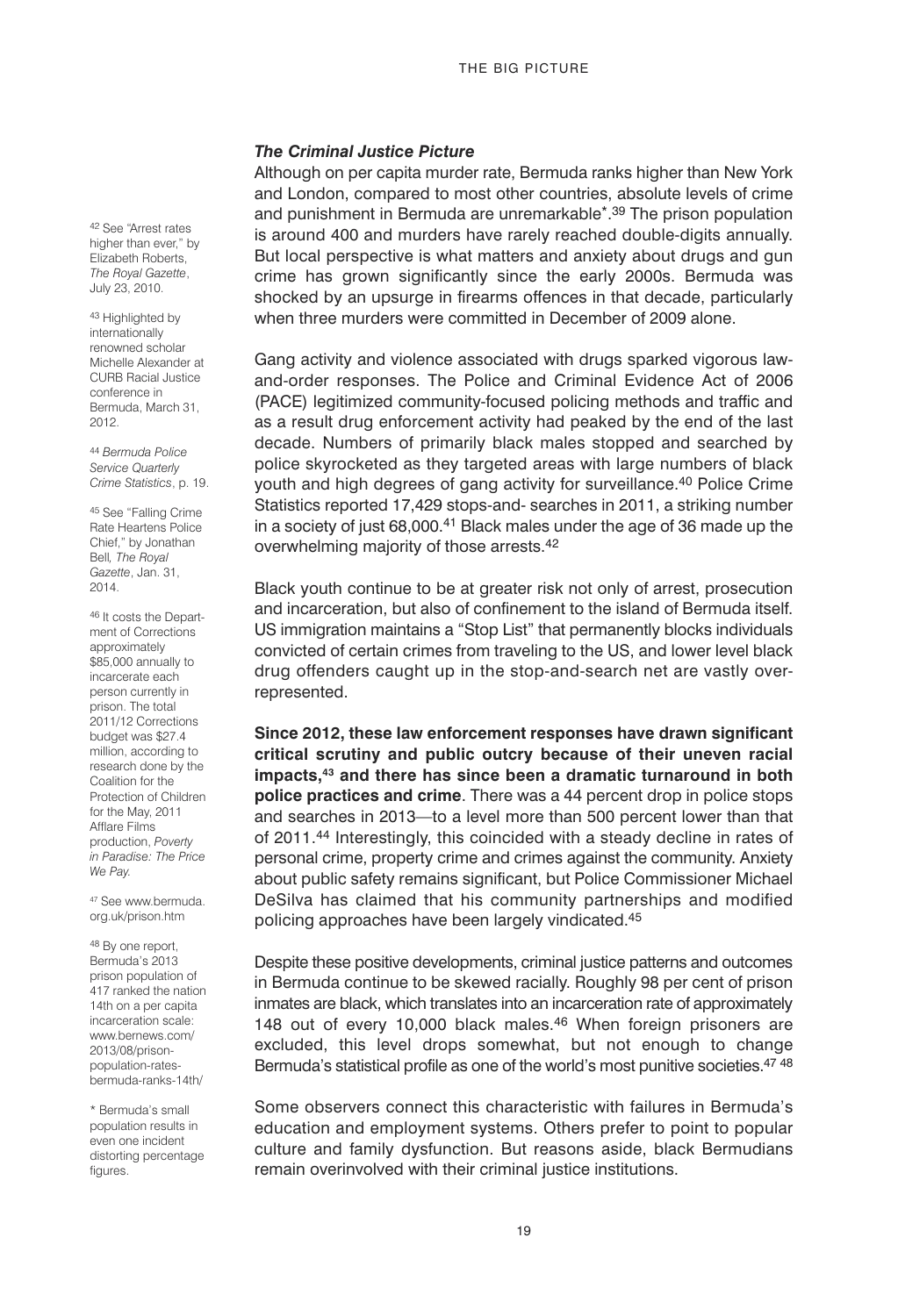### *The Criminal Justice Picture*

Although on per capita murder rate, Bermuda ranks higher than New York and London, compared to most other countries, absolute levels of crime and punishment in Bermuda are unremarkable<sup>\*</sup>.<sup>39</sup> The prison population is around 400 and murders have rarely reached double-digits annually. But local perspective is what matters and anxiety about drugs and gun crime has grown significantly since the early 2000s. Bermuda was shocked by an upsurge in firearms offences in that decade, particularly when three murders were committed in December of 2009 alone.

Gang activity and violence associated with drugs sparked vigorous lawand-order responses. The Police and Criminal Evidence Act of 2006 (PACE) legitimized community-focused policing methods and traffic and as a result drug enforcement activity had peaked by the end of the last decade. Numbers of primarily black males stopped and searched by police skyrocketed as they targeted areas with large numbers of black youth and high degrees of gang activity for surveillance.<sup>40</sup> Police Crime Statistics reported 17,429 stops-and- searches in 2011, a striking number in a society of just 68,000.41 Black males under the age of 36 made up the overwhelming majority of those arrests.42

Black youth continue to be at greater risk not only of arrest, prosecution and incarceration, but also of confinement to the island of Bermuda itself. US immigration maintains a "Stop List" that permanently blocks individuals convicted of certain crimes from traveling to the US, and lower level black drug offenders caught up in the stop-and-search net are vastly overrepresented.

**Since 2012, these law enforcement responses have drawn significant critical scrutiny and public outcry because of their uneven racial impacts,43 and there has since been a dramatic turnaround in both police practices and crime**. There was a 44 percent drop in police stops and searches in 2013—to a level more than 500 percent lower than that of 2011.44 Interestingly, this coincided with a steady decline in rates of personal crime, property crime and crimes against the community. Anxiety about public safety remains significant, but Police Commissioner Michael DeSilva has claimed that his community partnerships and modified policing approaches have been largely vindicated.45

Despite these positive developments, criminal justice patterns and outcomes in Bermuda continue to be skewed racially. Roughly 98 per cent of prison inmates are black, which translates into an incarceration rate of approximately 148 out of every 10,000 black males.46 When foreign prisoners are excluded, this level drops somewhat, but not enough to change Bermuda's statistical profile as one of the world's most punitive societies.<sup>47 48</sup>

Some observers connect this characteristic with failures in Bermuda's education and employment systems. Others prefer to point to popular culture and family dysfunction. But reasons aside, black Bermudians remain overinvolved with their criminal justice institutions.

<sup>42</sup> See "Arrest rates higher than ever," by Elizabeth Roberts, *The Royal Gazette*, July 23, 2010.

<sup>43</sup> Highlighted by internationally renowned scholar Michelle Alexander at CURB Racial Justice conference in Bermuda, March 31, 2012.

<sup>44</sup> *Bermuda Police Service Quarterly Crime Statistics*, p. 19.

<sup>45</sup> See "Falling Crime Rate Heartens Police Chief," by Jonathan Bell*, The Royal Gazette*, Jan. 31, 2014.

<sup>46</sup> It costs the Department of Corrections approximately \$85,000 annually to incarcerate each person currently in prison. The total 2011/12 Corrections budget was \$27.4 million, according to research done by the Coalition for the Protection of Children for the May, 2011 Afflare Films production, *Poverty in Paradise: The Price We Pay.*

<sup>47</sup> See www.bermuda. org.uk/prison.htm

<sup>48</sup> By one report, Bermuda's 2013 prison population of 417 ranked the nation 14th on a per capita incarceration scale: www.bernews.com/ 2013/08/prisonpopulation-ratesbermuda-ranks-14th/

\* Bermuda's small population results in even one incident distorting percentage figures.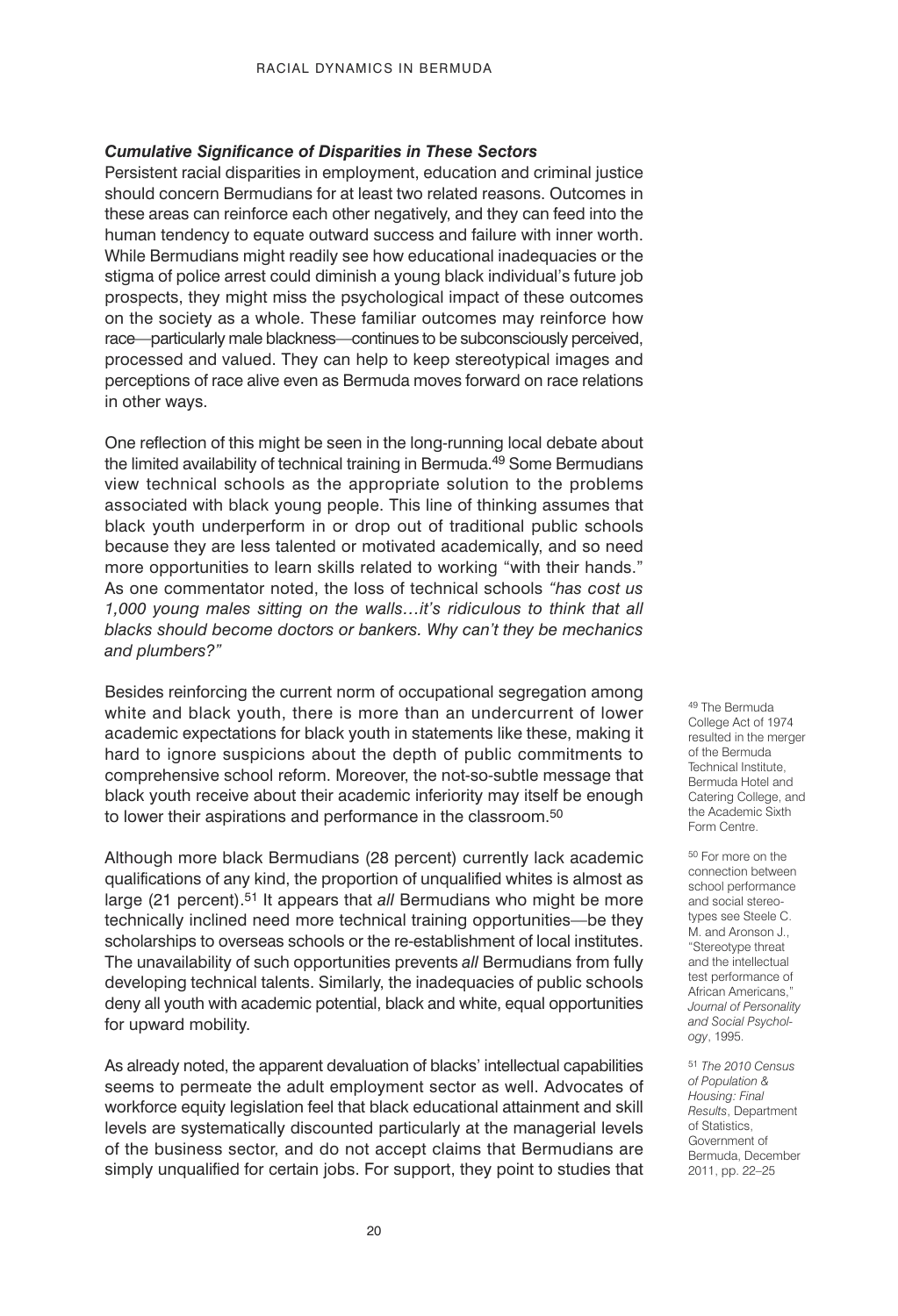### *Cumulative Significance of Disparities in These Sectors*

Persistent racial disparities in employment, education and criminal justice should concern Bermudians for at least two related reasons. Outcomes in these areas can reinforce each other negatively, and they can feed into the human tendency to equate outward success and failure with inner worth. While Bermudians might readily see how educational inadequacies or the stigma of police arrest could diminish a young black individual's future job prospects, they might miss the psychological impact of these outcomes on the society as a whole. These familiar outcomes may reinforce how race—particularly male blackness—continues to be subconsciously perceived, processed and valued. They can help to keep stereotypical images and perceptions of race alive even as Bermuda moves forward on race relations in other ways.

One reflection of this might be seen in the long-running local debate about the limited availability of technical training in Bermuda. <sup>49</sup> Some Bermudians view technical schools as the appropriate solution to the problems associated with black young people. This line of thinking assumes that black youth underperform in or drop out of traditional public schools because they are less talented or motivated academically, and so need more opportunities to learn skills related to working "with their hands." As one commentator noted, the loss of technical schools *"has cost us 1,000 young males sitting on the walls…it's ridiculous to think that all blacks should become doctors or bankers. Why can't they be mechanics and plumbers?"*

Besides reinforcing the current norm of occupational segregation among white and black youth, there is more than an undercurrent of lower academic expectations for black youth in statements like these, making it hard to ignore suspicions about the depth of public commitments to comprehensive school reform. Moreover, the not-so-subtle message that black youth receive about their academic inferiority may itself be enough to lower their aspirations and performance in the classroom.<sup>50</sup>

Although more black Bermudians (28 percent) currently lack academic qualifications of any kind, the proportion of unqualified whites is almost as large (21 percent).51 It appears that *all* Bermudians who might be more technically inclined need more technical training opportunities—be they scholarships to overseas schools or the re-establishment of local institutes. The unavailability of such opportunities prevents *all* Bermudians from fully developing technical talents. Similarly, the inadequacies of public schools deny all youth with academic potential, black and white, equal opportunities for upward mobility.

As already noted, the apparent devaluation of blacks' intellectual capabilities seems to permeate the adult employment sector as well. Advocates of workforce equity legislation feel that black educational attainment and skill levels are systematically discounted particularly at the managerial levels of the business sector, and do not accept claims that Bermudians are simply unqualified for certain jobs. For support, they point to studies that

<sup>49</sup> The Bermuda College Act of 1974 resulted in the merger of the Bermuda Technical Institute, Bermuda Hotel and Catering College, and the Academic Sixth Form Centre.

<sup>50</sup> For more on the connection between school performance and social stereotypes see Steele C. M. and Aronson J., "Stereotype threat and the intellectual test performance of African Americans," *Journal of Personality and Social Psychology*, 1995.

<sup>51</sup> *The 2010 Census of Population & Housing: Final Results*, Department of Statistics, Government of Bermuda, December 2011, pp. 22–25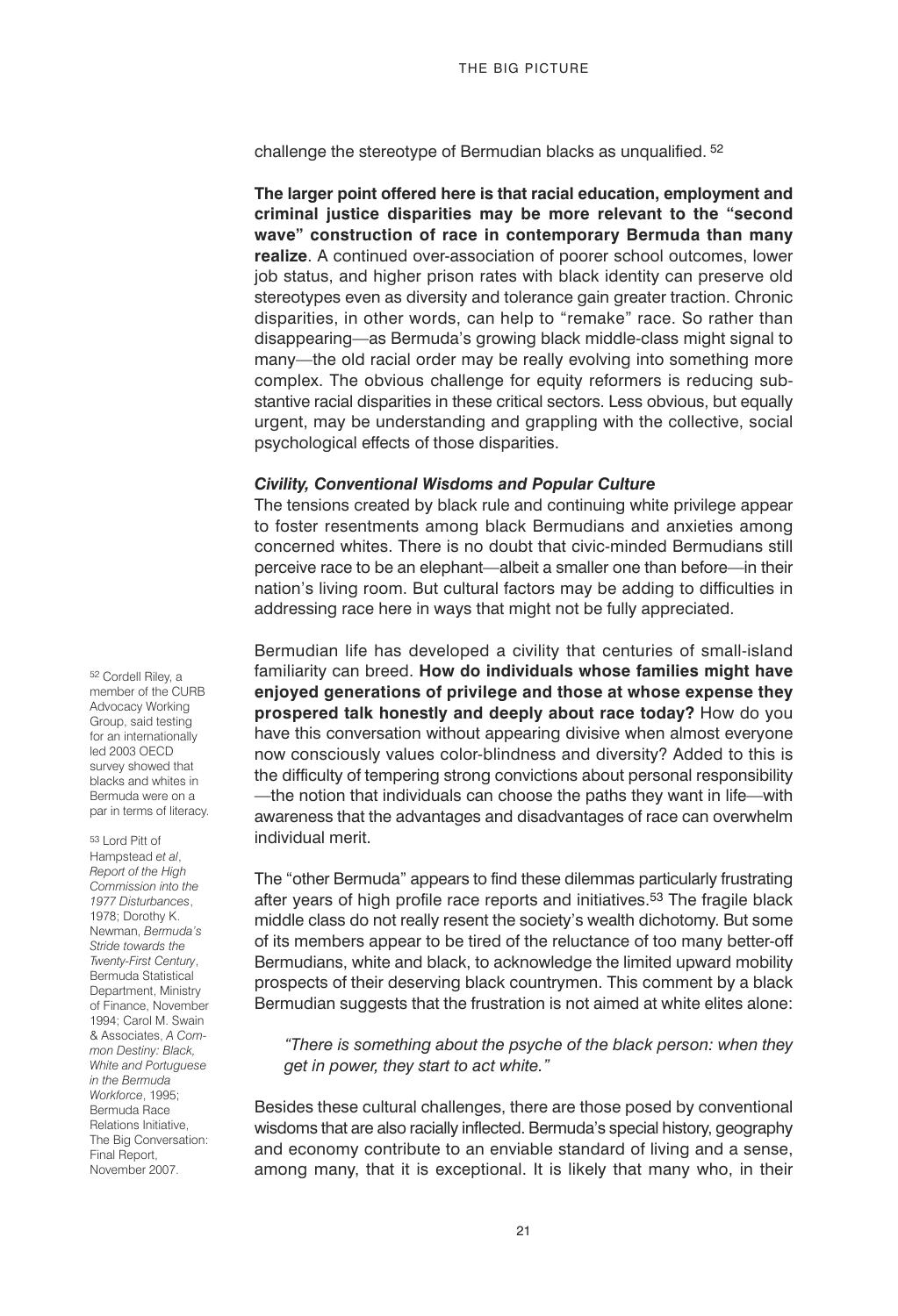challenge the stereotype of Bermudian blacks as unqualified. <sup>52</sup>

**The larger point offered here is that racial education, employment and criminal justice disparities may be more relevant to the "second wave" construction of race in contemporary Bermuda than many realize**. A continued over-association of poorer school outcomes, lower job status, and higher prison rates with black identity can preserve old stereotypes even as diversity and tolerance gain greater traction. Chronic disparities, in other words, can help to "remake" race. So rather than disappearing—as Bermuda's growing black middle-class might signal to many—the old racial order may be really evolving into something more complex. The obvious challenge for equity reformers is reducing substantive racial disparities in these critical sectors. Less obvious, but equally urgent, may be understanding and grappling with the collective, social psychological effects of those disparities.

### *Civility, Conventional Wisdoms and Popular Culture*

The tensions created by black rule and continuing white privilege appear to foster resentments among black Bermudians and anxieties among concerned whites. There is no doubt that civic-minded Bermudians still perceive race to be an elephant—albeit a smaller one than before—in their nation's living room. But cultural factors may be adding to difficulties in addressing race here in ways that might not be fully appreciated.

Bermudian life has developed a civility that centuries of small-island familiarity can breed. **How do individuals whose families might have enjoyed generations of privilege and those at whose expense they prospered talk honestly and deeply about race today?** How do you have this conversation without appearing divisive when almost everyone now consciously values color-blindness and diversity? Added to this is the difficulty of tempering strong convictions about personal responsibility —the notion that individuals can choose the paths they want in life—with awareness that the advantages and disadvantages of race can overwhelm individual merit.

The "other Bermuda" appears to find these dilemmas particularly frustrating after years of high profile race reports and initiatives.53 The fragile black middle class do not really resent the society's wealth dichotomy. But some of its members appear to be tired of the reluctance of too many better-off Bermudians, white and black, to acknowledge the limited upward mobility prospects of their deserving black countrymen. This comment by a black Bermudian suggests that the frustration is not aimed at white elites alone:

### *"There is something about the psyche of the black person: when they get in power, they start to act white."*

Besides these cultural challenges, there are those posed by conventional wisdoms that are also racially inflected. Bermuda's special history, geography and economy contribute to an enviable standard of living and a sense, among many, that it is exceptional. It is likely that many who, in their

<sup>52</sup> Cordell Riley, a member of the CURB Advocacy Working Group, said testing for an internationally led 2003 OECD survey showed that blacks and whites in Bermuda were on a par in terms of literacy.

<sup>53</sup> Lord Pitt of Hampstead *et al*, *Report of the High Commission into the 1977 Disturbances*, 1978; Dorothy K. Newman, *Bermuda's Stride towards the Twenty-First Century*, Bermuda Statistical Department, Ministry of Finance, November 1994; Carol M. Swain & Associates, *A Common Destiny: Black, White and Portuguese in the Bermuda Workforce*, 1995; Bermuda Race Relations Initiative, The Big Conversation: Final Report, November 2007.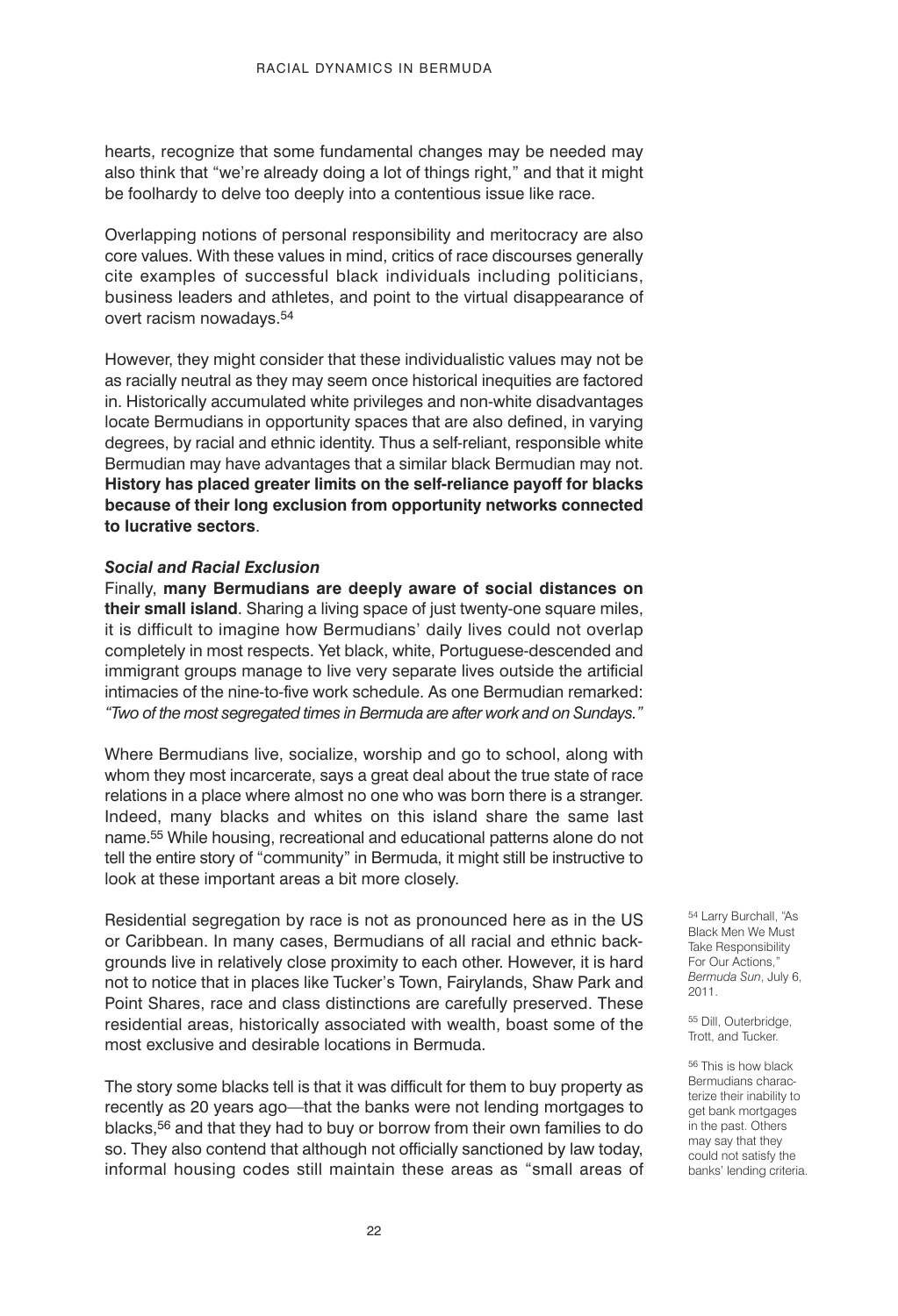hearts, recognize that some fundamental changes may be needed may also think that "we're already doing a lot of things right," and that it might be foolhardy to delve too deeply into a contentious issue like race.

Overlapping notions of personal responsibility and meritocracy are also core values. With these values in mind, critics of race discourses generally cite examples of successful black individuals including politicians, business leaders and athletes, and point to the virtual disappearance of overt racism nowadays.54

However, they might consider that these individualistic values may not be as racially neutral as they may seem once historical inequities are factored in. Historically accumulated white privileges and non-white disadvantages locate Bermudians in opportunity spaces that are also defined, in varying degrees, by racial and ethnic identity. Thus a self-reliant, responsible white Bermudian may have advantages that a similar black Bermudian may not. **History has placed greater limits on the self-reliance payoff for blacks because of their long exclusion from opportunity networks connected to lucrative sectors**.

### *Social and Racial Exclusion*

Finally, **many Bermudians are deeply aware of social distances on their small island**. Sharing a living space of just twenty-one square miles, it is difficult to imagine how Bermudians' daily lives could not overlap completely in most respects. Yet black, white, Portuguese-descended and immigrant groups manage to live very separate lives outside the artificial intimacies of the nine-to-five work schedule. As one Bermudian remarked: *"Two of the most segregated times in Bermuda are after work and on Sundays."*

Where Bermudians live, socialize, worship and go to school, along with whom they most incarcerate, says a great deal about the true state of race relations in a place where almost no one who was born there is a stranger. Indeed, many blacks and whites on this island share the same last name. <sup>55</sup> While housing, recreational and educational patterns alone do not tell the entire story of "community" in Bermuda, it might still be instructive to look at these important areas a bit more closely.

Residential segregation by race is not as pronounced here as in the US or Caribbean. In many cases, Bermudians of all racial and ethnic backgrounds live in relatively close proximity to each other. However, it is hard not to notice that in places like Tucker's Town, Fairylands, Shaw Park and Point Shares, race and class distinctions are carefully preserved. These residential areas, historically associated with wealth, boast some of the most exclusive and desirable locations in Bermuda.

The story some blacks tell is that it was difficult for them to buy property as recently as 20 years ago—that the banks were not lending mortgages to blacks,56 and that they had to buy or borrow from their own families to do so. They also contend that although not officially sanctioned by law today, informal housing codes still maintain these areas as "small areas of <sup>54</sup> Larry Burchall, "As Black Men We Must Take Responsibility For Our Actions," *Bermuda Sun*, July 6, 2011.

<sup>55</sup> Dill, Outerbridge, Trott, and Tucker.

<sup>56</sup> This is how black Bermudians characterize their inability to get bank mortgages in the past. Others may say that they could not satisfy the banks' lending criteria.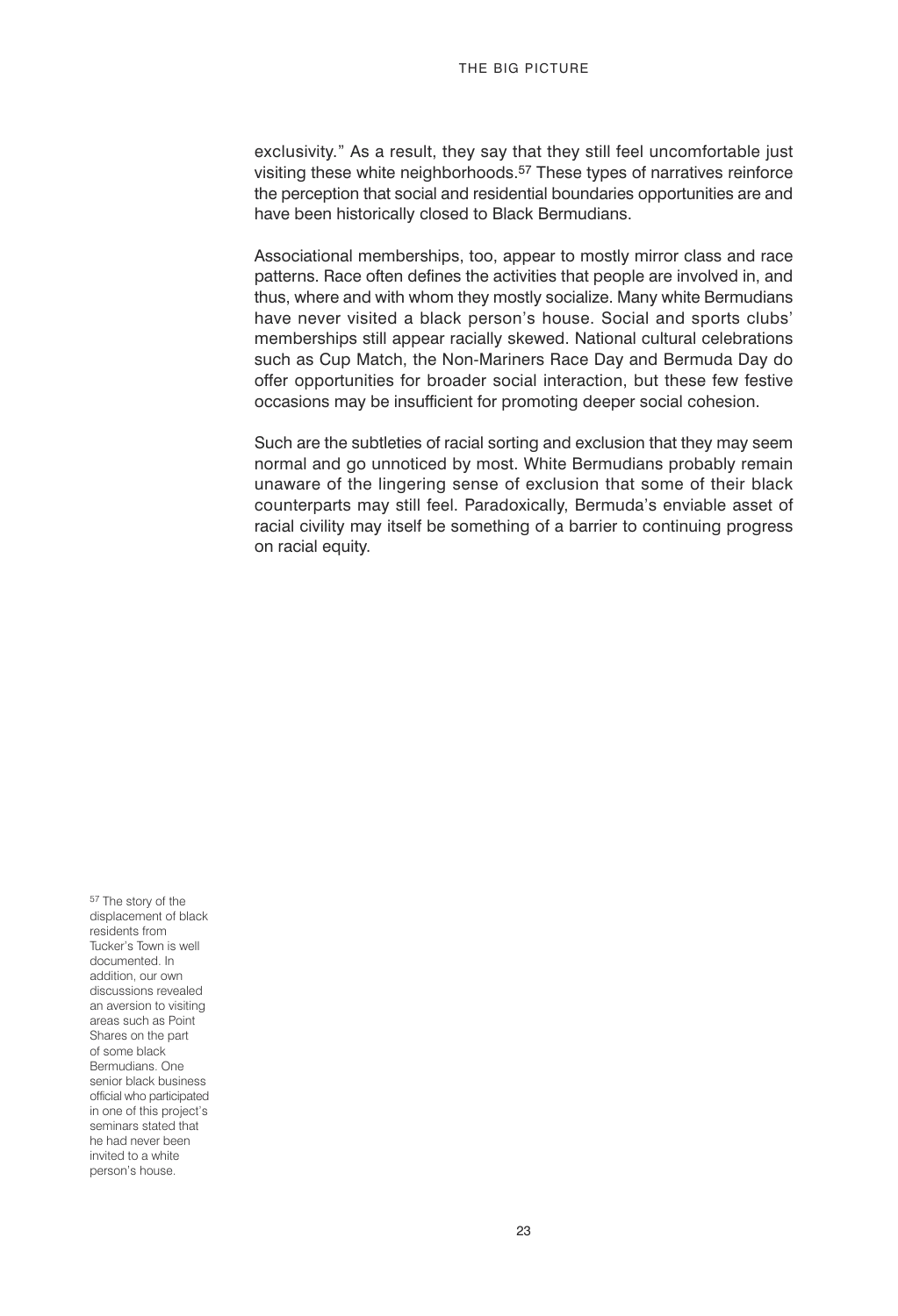exclusivity." As a result, they say that they still feel uncomfortable just visiting these white neighborhoods.<sup>57</sup> These types of narratives reinforce the perception that social and residential boundaries opportunities are and have been historically closed to Black Bermudians.

Associational memberships, too, appear to mostly mirror class and race patterns. Race often defines the activities that people are involved in, and thus, where and with whom they mostly socialize. Many white Bermudians have never visited a black person's house. Social and sports clubs' memberships still appear racially skewed. National cultural celebrations such as Cup Match, the Non-Mariners Race Day and Bermuda Day do offer opportunities for broader social interaction, but these few festive occasions may be insufficient for promoting deeper social cohesion.

Such are the subtleties of racial sorting and exclusion that they may seem normal and go unnoticed by most. White Bermudians probably remain unaware of the lingering sense of exclusion that some of their black counterparts may still feel. Paradoxically, Bermuda's enviable asset of racial civility may itself be something of a barrier to continuing progress on racial equity.

<sup>57</sup> The story of the displacement of black residents from Tucker's Town is well documented. In addition, our own discussions revealed an aversion to visiting areas such as Point Shares on the part of some black Bermudians. One senior black business official who participated in one of this project's seminars stated that he had never been invited to a white person's house.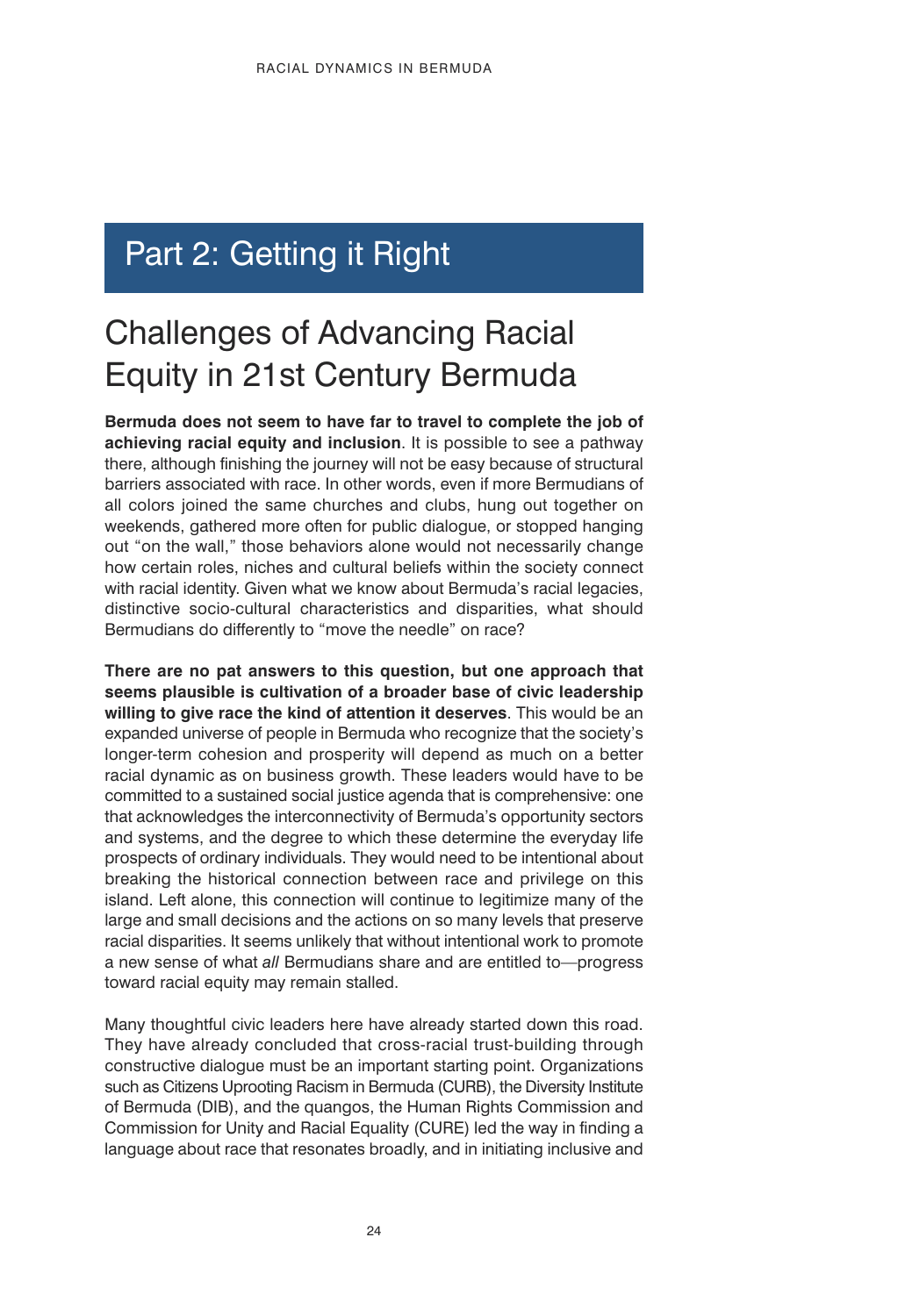# Part 2: Getting it Right

# Challenges of Advancing Racial Equity in 21st Century Bermuda

**Bermuda does not seem to have far to travel to complete the job of achieving racial equity and inclusion**. It is possible to see a pathway there, although finishing the journey will not be easy because of structural barriers associated with race. In other words, even if more Bermudians of all colors joined the same churches and clubs, hung out together on weekends, gathered more often for public dialogue, or stopped hanging out "on the wall," those behaviors alone would not necessarily change how certain roles, niches and cultural beliefs within the society connect with racial identity. Given what we know about Bermuda's racial legacies, distinctive socio-cultural characteristics and disparities, what should Bermudians do differently to "move the needle" on race?

**There are no pat answers to this question, but one approach that seems plausible is cultivation of a broader base of civic leadership willing to give race the kind of attention it deserves**. This would be an expanded universe of people in Bermuda who recognize that the society's longer-term cohesion and prosperity will depend as much on a better racial dynamic as on business growth. These leaders would have to be committed to a sustained social justice agenda that is comprehensive: one that acknowledges the interconnectivity of Bermuda's opportunity sectors and systems, and the degree to which these determine the everyday life prospects of ordinary individuals. They would need to be intentional about breaking the historical connection between race and privilege on this island. Left alone, this connection will continue to legitimize many of the large and small decisions and the actions on so many levels that preserve racial disparities. It seems unlikely that without intentional work to promote a new sense of what *all* Bermudians share and are entitled to—progress toward racial equity may remain stalled.

Many thoughtful civic leaders here have already started down this road. They have already concluded that cross-racial trust-building through constructive dialogue must be an important starting point. Organizations such as Citizens Uprooting Racism in Bermuda (CURB), the Diversity Institute of Bermuda (DIB), and the quangos, the Human Rights Commission and Commission for Unity and Racial Equality (CURE) led the way in finding a language about race that resonates broadly, and in initiating inclusive and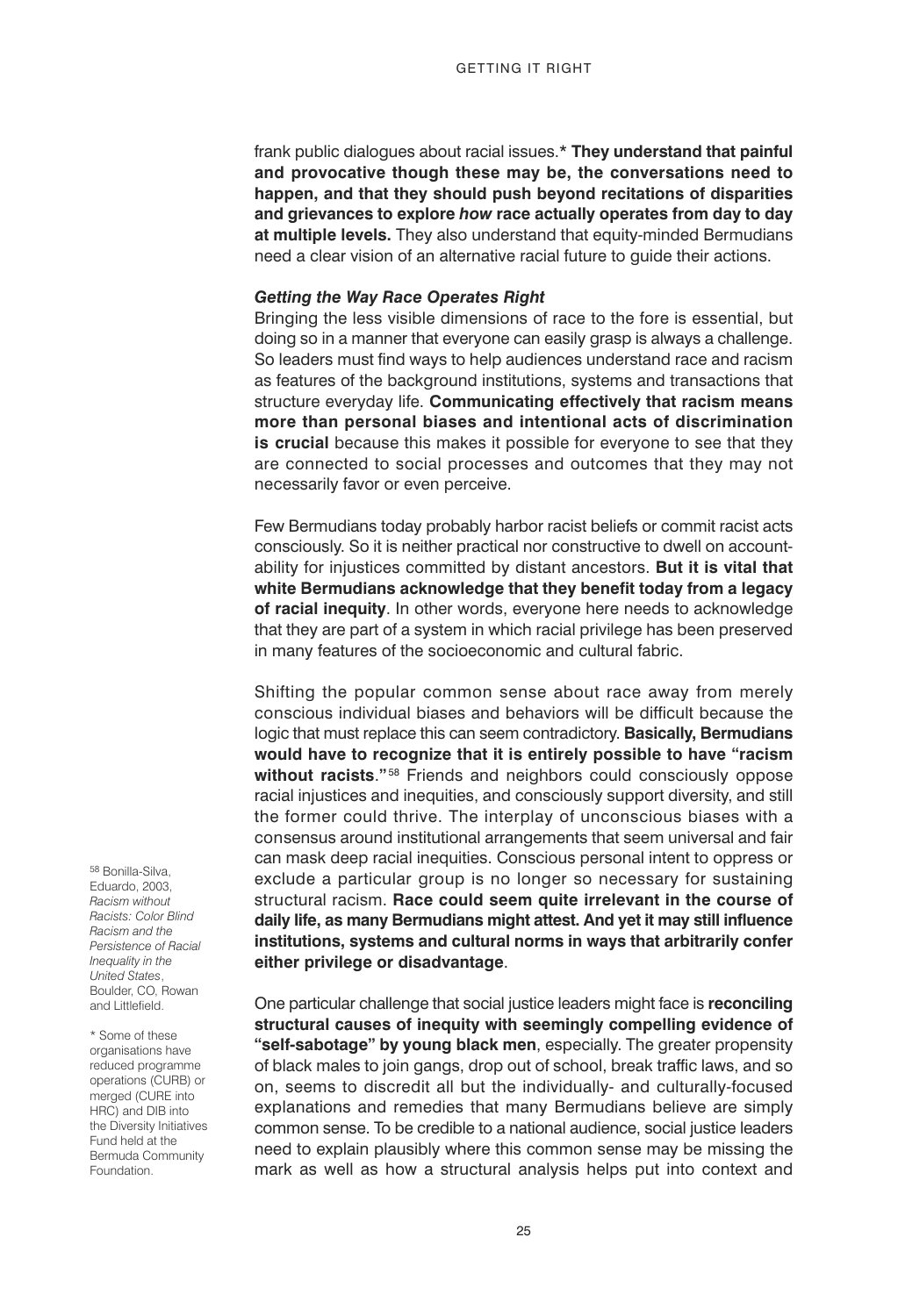frank public dialogues about racial issues.\* **They understand that painful and provocative though these may be, the conversations need to happen, and that they should push beyond recitations of disparities and grievances to explore** *how* **race actually operates from day to day at multiple levels.** They also understand that equity-minded Bermudians need a clear vision of an alternative racial future to guide their actions.

#### *Getting the Way Race Operates Right*

Bringing the less visible dimensions of race to the fore is essential, but doing so in a manner that everyone can easily grasp is always a challenge. So leaders must find ways to help audiences understand race and racism as features of the background institutions, systems and transactions that structure everyday life. **Communicating effectively that racism means more than personal biases and intentional acts of discrimination is crucial** because this makes it possible for everyone to see that they are connected to social processes and outcomes that they may not necessarily favor or even perceive.

Few Bermudians today probably harbor racist beliefs or commit racist acts consciously. So it is neither practical nor constructive to dwell on accountability for injustices committed by distant ancestors. **But it is vital that white Bermudians acknowledge that they benefit today from a legacy of racial inequity**. In other words, everyone here needs to acknowledge that they are part of a system in which racial privilege has been preserved in many features of the socioeconomic and cultural fabric.

Shifting the popular common sense about race away from merely conscious individual biases and behaviors will be difficult because the logic that must replace this can seem contradictory. **Basically, Bermudians would have to recognize that it is entirely possible to have "racism without racists**.**"** <sup>58</sup> Friends and neighbors could consciously oppose racial injustices and inequities, and consciously support diversity, and still the former could thrive. The interplay of unconscious biases with a consensus around institutional arrangements that seem universal and fair can mask deep racial inequities. Conscious personal intent to oppress or exclude a particular group is no longer so necessary for sustaining structural racism. **Race could seem quite irrelevant in the course of daily life, as many Bermudians might attest. And yet it may still influence institutions, systems and cultural norms in ways that arbitrarily confer either privilege or disadvantage**.

One particular challenge that social justice leaders might face is **reconciling structural causes of inequity with seemingly compelling evidence of "self-sabotage" by young black men**, especially. The greater propensity of black males to join gangs, drop out of school, break traffic laws, and so on, seems to discredit all but the individually- and culturally-focused explanations and remedies that many Bermudians believe are simply common sense. To be credible to a national audience, social justice leaders need to explain plausibly where this common sense may be missing the mark as well as how a structural analysis helps put into context and

<sup>58</sup> Bonilla-Silva, Eduardo, 2003, *Racism without Racists: Color Blind Racism and the Persistence of Racial Inequality in the United States*, Boulder, CO, Rowan and Littlefield.

\* Some of these organisations have reduced programme operations (CURB) or merged (CURE into HRC) and DIB into the Diversity Initiatives Fund held at the Bermuda Community Foundation.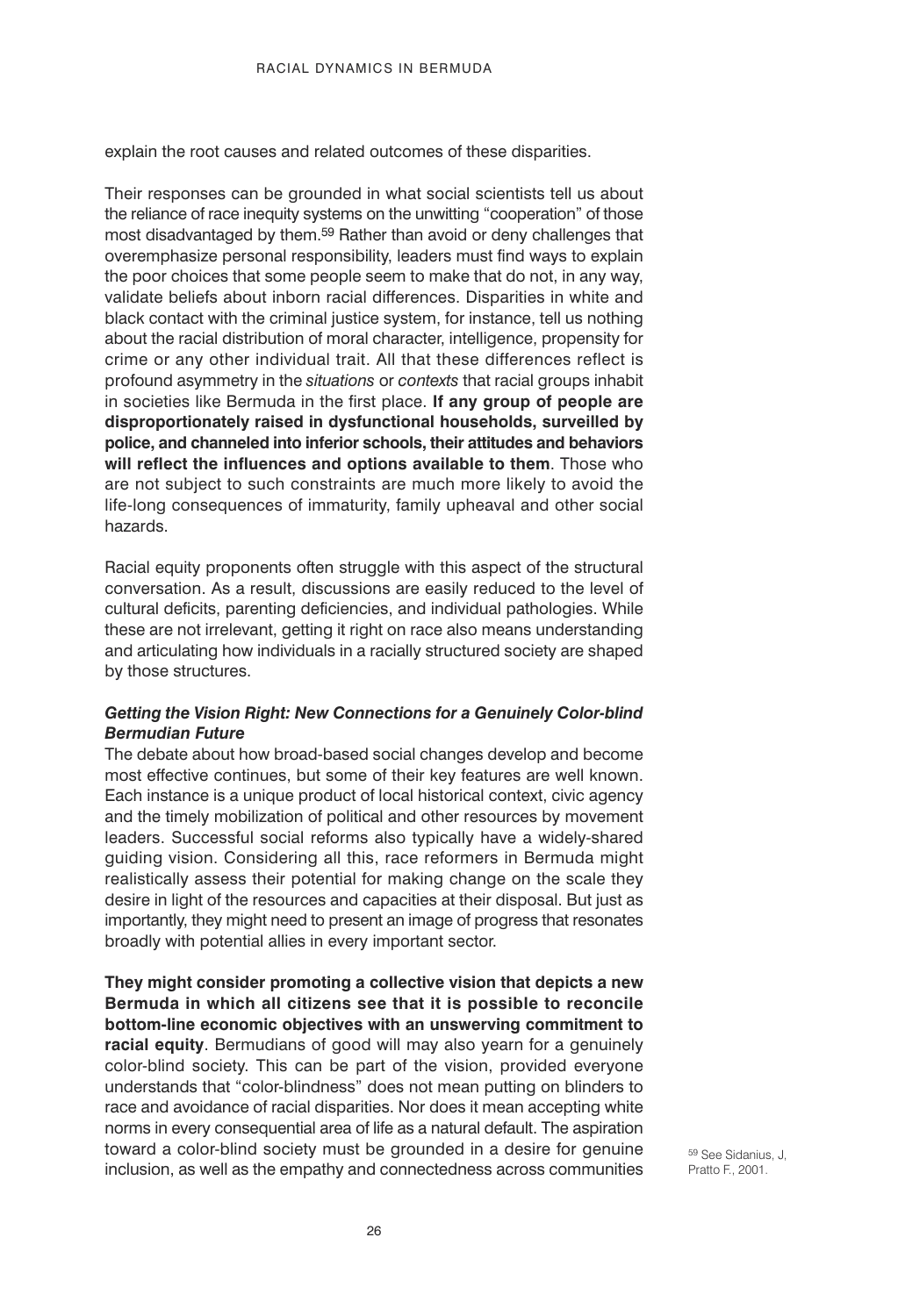explain the root causes and related outcomes of these disparities.

Their responses can be grounded in what social scientists tell us about the reliance of race inequity systems on the unwitting "cooperation" of those most disadvantaged by them. <sup>59</sup> Rather than avoid or deny challenges that overemphasize personal responsibility, leaders must find ways to explain the poor choices that some people seem to make that do not, in any way, validate beliefs about inborn racial differences. Disparities in white and black contact with the criminal justice system, for instance, tell us nothing about the racial distribution of moral character, intelligence, propensity for crime or any other individual trait. All that these differences reflect is profound asymmetry in the *situations* or *contexts* that racial groups inhabit in societies like Bermuda in the first place. **If any group of people are disproportionately raised in dysfunctional households, surveilled by police, and channeled into inferior schools, their attitudes and behaviors will reflect the influences and options available to them**. Those who are not subject to such constraints are much more likely to avoid the life-long consequences of immaturity, family upheaval and other social hazards.

Racial equity proponents often struggle with this aspect of the structural conversation. As a result, discussions are easily reduced to the level of cultural deficits, parenting deficiencies, and individual pathologies. While these are not irrelevant, getting it right on race also means understanding and articulating how individuals in a racially structured society are shaped by those structures.

### *Getting the Vision Right: New Connections for a Genuinely Color-blind Bermudian Future*

The debate about how broad-based social changes develop and become most effective continues, but some of their key features are well known. Each instance is a unique product of local historical context, civic agency and the timely mobilization of political and other resources by movement leaders. Successful social reforms also typically have a widely-shared guiding vision. Considering all this, race reformers in Bermuda might realistically assess their potential for making change on the scale they desire in light of the resources and capacities at their disposal. But just as importantly, they might need to present an image of progress that resonates broadly with potential allies in every important sector.

**They might consider promoting a collective vision that depicts a new Bermuda in which all citizens see that it is possible to reconcile bottom-line economic objectives with an unswerving commitment to racial equity**. Bermudians of good will may also yearn for a genuinely color-blind society. This can be part of the vision, provided everyone understands that "color-blindness" does not mean putting on blinders to race and avoidance of racial disparities. Nor does it mean accepting white norms in every consequential area of life as a natural default. The aspiration toward a color-blind society must be grounded in a desire for genuine inclusion, as well as the empathy and connectedness across communities

<sup>59</sup> See Sidanius, J, Pratto F., 2001.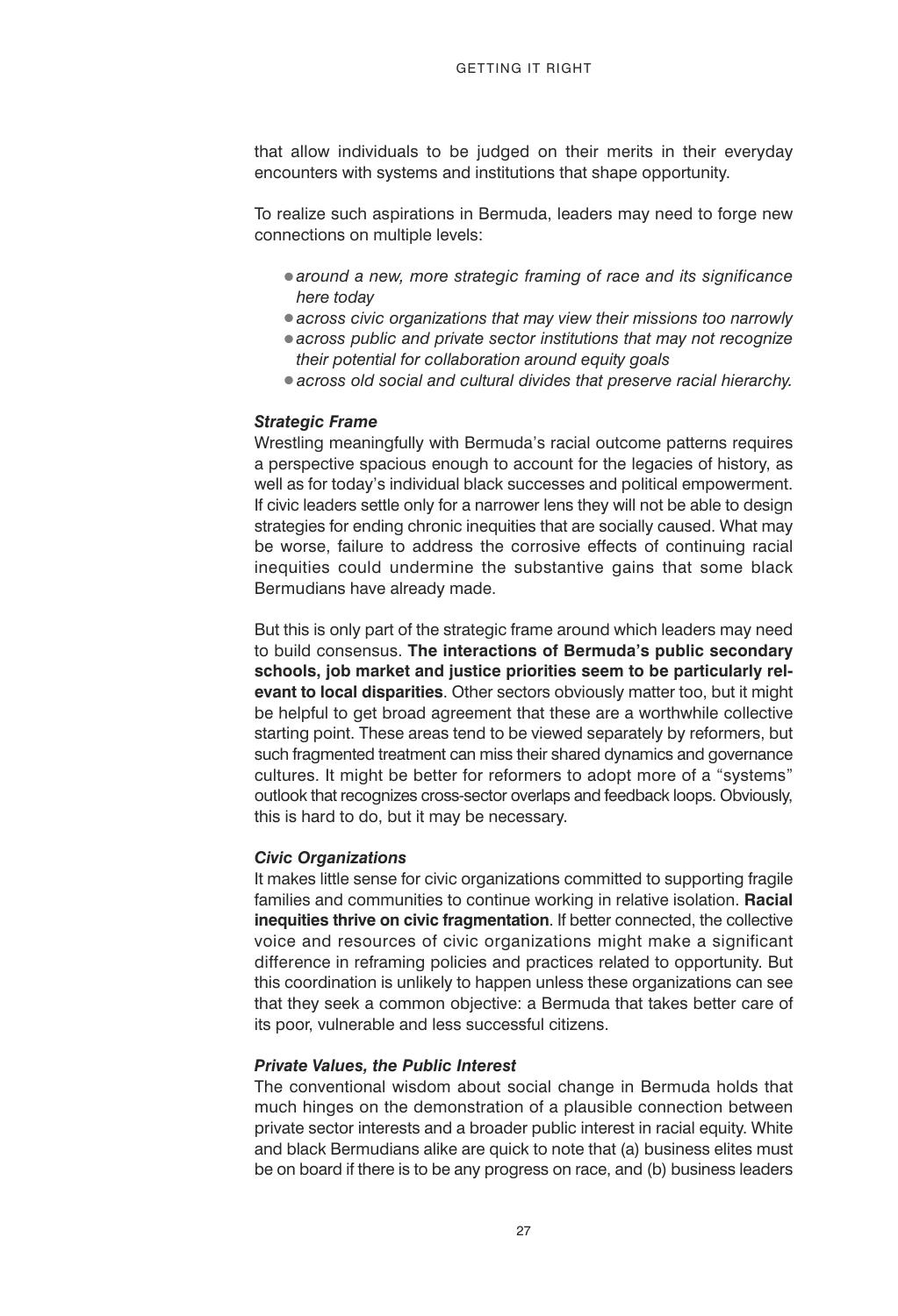that allow individuals to be judged on their merits in their everyday encounters with systems and institutions that shape opportunity.

To realize such aspirations in Bermuda, leaders may need to forge new connections on multiple levels:

- <sup>l</sup> *around a new, more strategic framing of race and its significance here today*
- <sup>l</sup> *across civic organizations that may view their missions too narrowly*
- <sup>l</sup> *across public and private sector institutions that may not recognize their potential for collaboration around equity goals*
- <sup>l</sup> *across old social and cultural divides that preserve racial hierarchy.*

### *Strategic Frame*

Wrestling meaningfully with Bermuda's racial outcome patterns requires a perspective spacious enough to account for the legacies of history, as well as for today's individual black successes and political empowerment. If civic leaders settle only for a narrower lens they will not be able to design strategies for ending chronic inequities that are socially caused. What may be worse, failure to address the corrosive effects of continuing racial inequities could undermine the substantive gains that some black Bermudians have already made.

But this is only part of the strategic frame around which leaders may need to build consensus. **The interactions of Bermuda's public secondary schools, job market and justice priorities seem to be particularly relevant to local disparities**. Other sectors obviously matter too, but it might be helpful to get broad agreement that these are a worthwhile collective starting point. These areas tend to be viewed separately by reformers, but such fragmented treatment can miss their shared dynamics and governance cultures. It might be better for reformers to adopt more of a "systems" outlook that recognizes cross-sector overlaps and feedback loops. Obviously, this is hard to do, but it may be necessary.

### *Civic Organizations*

It makes little sense for civic organizations committed to supporting fragile families and communities to continue working in relative isolation. **Racial inequities thrive on civic fragmentation**. If better connected, the collective voice and resources of civic organizations might make a significant difference in reframing policies and practices related to opportunity. But this coordination is unlikely to happen unless these organizations can see that they seek a common objective: a Bermuda that takes better care of its poor, vulnerable and less successful citizens.

#### *Private Values, the Public Interest*

The conventional wisdom about social change in Bermuda holds that much hinges on the demonstration of a plausible connection between private sector interests and a broader public interest in racial equity. White and black Bermudians alike are quick to note that (a) business elites must be on board if there is to be any progress on race, and (b) business leaders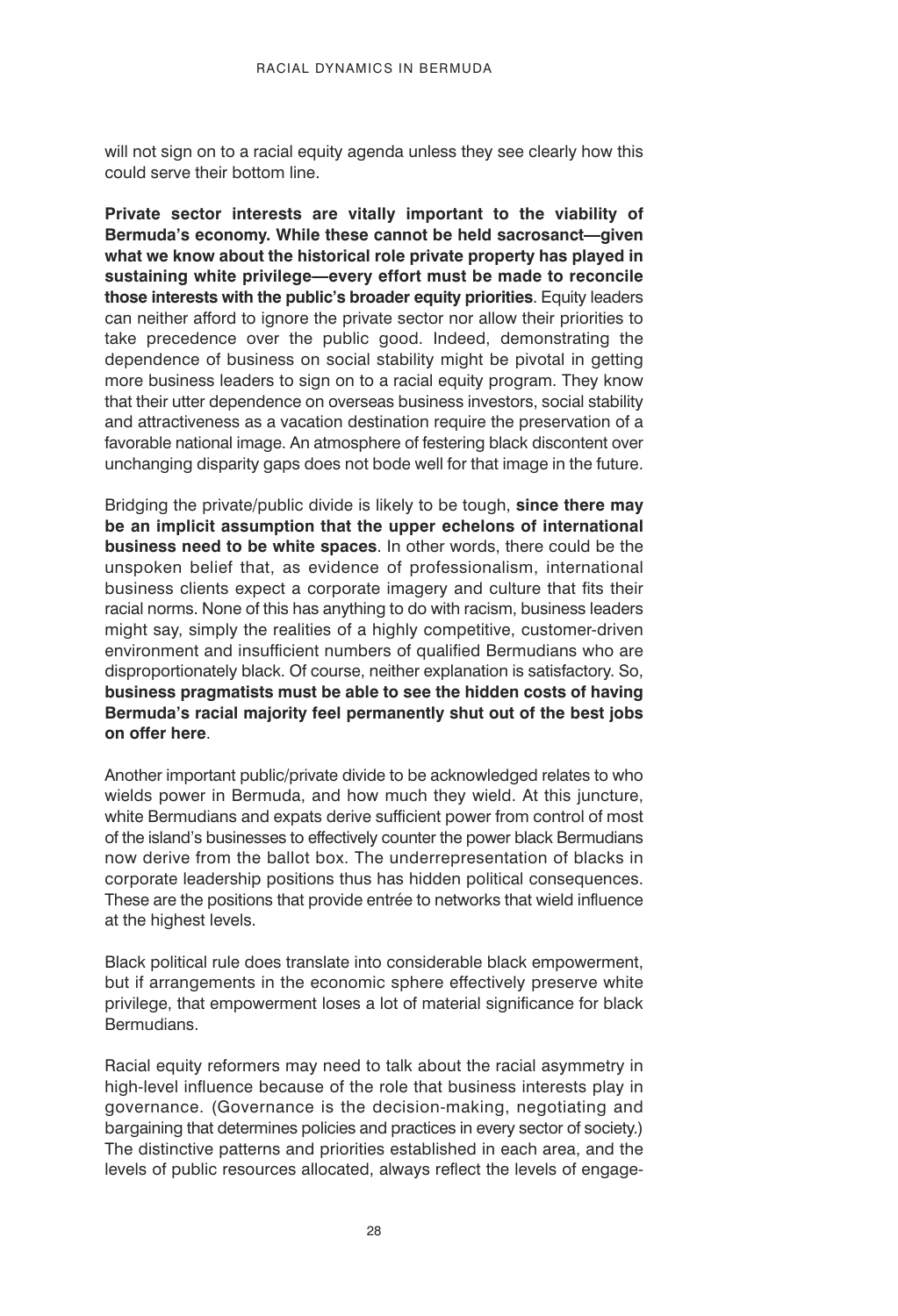will not sign on to a racial equity agenda unless they see clearly how this could serve their bottom line.

**Private sector interests are vitally important to the viability of Bermuda's economy. While these cannot be held sacrosanct—given what we know about the historical role private property has played in sustaining white privilege—every effort must be made to reconcile those interests with the public's broader equity priorities**. Equity leaders can neither afford to ignore the private sector nor allow their priorities to take precedence over the public good. Indeed, demonstrating the dependence of business on social stability might be pivotal in getting more business leaders to sign on to a racial equity program. They know that their utter dependence on overseas business investors, social stability and attractiveness as a vacation destination require the preservation of a favorable national image. An atmosphere of festering black discontent over unchanging disparity gaps does not bode well for that image in the future.

Bridging the private/public divide is likely to be tough, **since there may be an implicit assumption that the upper echelons of international business need to be white spaces**. In other words, there could be the unspoken belief that, as evidence of professionalism, international business clients expect a corporate imagery and culture that fits their racial norms. None of this has anything to do with racism, business leaders might say, simply the realities of a highly competitive, customer-driven environment and insufficient numbers of qualified Bermudians who are disproportionately black. Of course, neither explanation is satisfactory. So, **business pragmatists must be able to see the hidden costs of having Bermuda's racial majority feel permanently shut out of the best jobs on offer here**.

Another important public/private divide to be acknowledged relates to who wields power in Bermuda, and how much they wield. At this juncture, white Bermudians and expats derive sufficient power from control of most of the island's businesses to effectively counter the power black Bermudians now derive from the ballot box. The underrepresentation of blacks in corporate leadership positions thus has hidden political consequences. These are the positions that provide entrée to networks that wield influence at the highest levels.

Black political rule does translate into considerable black empowerment, but if arrangements in the economic sphere effectively preserve white privilege, that empowerment loses a lot of material significance for black Bermudians.

Racial equity reformers may need to talk about the racial asymmetry in high-level influence because of the role that business interests play in governance. (Governance is the decision-making, negotiating and bargaining that determines policies and practices in every sector of society.) The distinctive patterns and priorities established in each area, and the levels of public resources allocated, always reflect the levels of engage-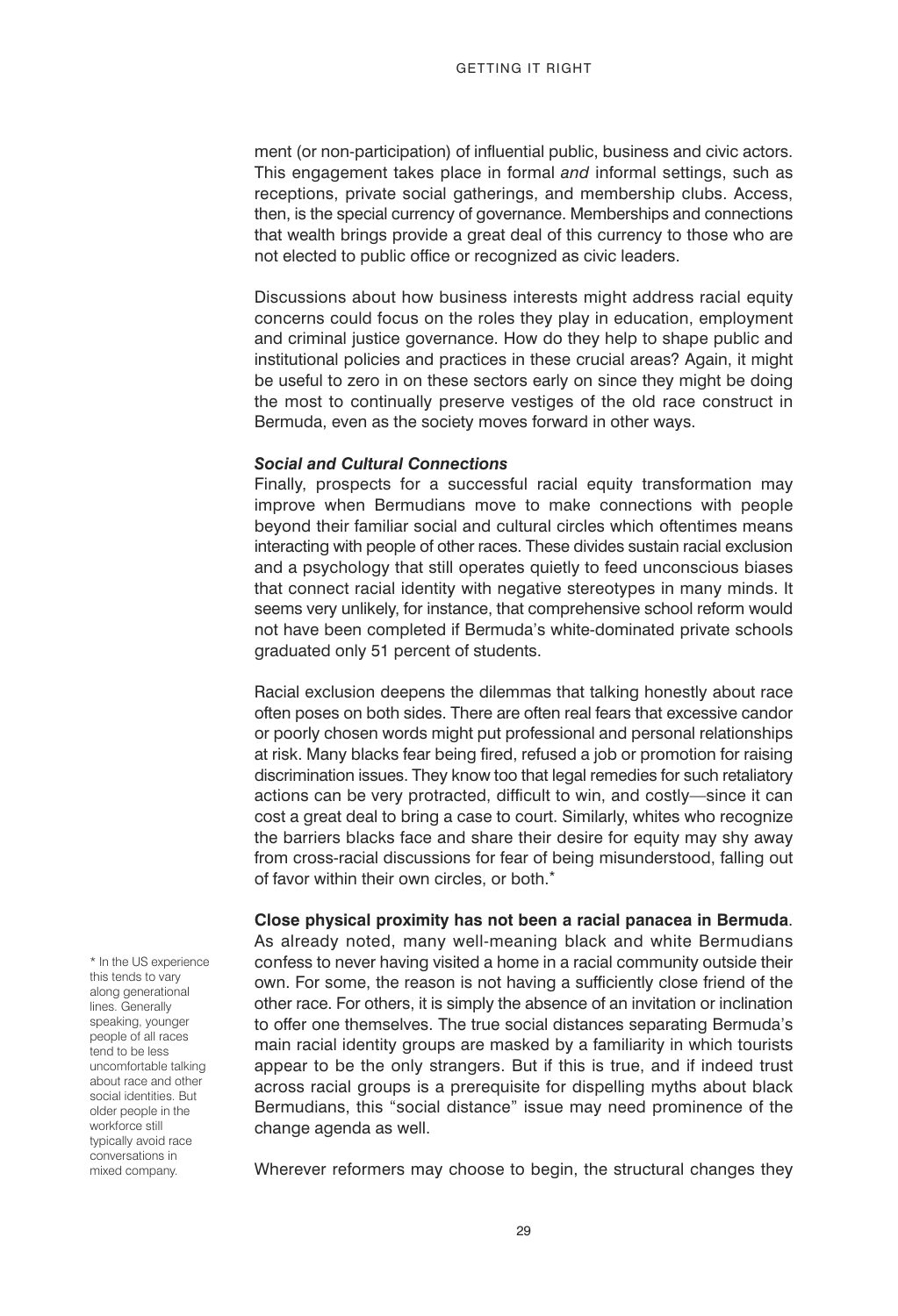ment (or non-participation) of influential public, business and civic actors. This engagement takes place in formal *and* informal settings, such as receptions, private social gatherings, and membership clubs. Access, then, is the special currency of governance. Memberships and connections that wealth brings provide a great deal of this currency to those who are not elected to public office or recognized as civic leaders.

Discussions about how business interests might address racial equity concerns could focus on the roles they play in education, employment and criminal justice governance. How do they help to shape public and institutional policies and practices in these crucial areas? Again, it might be useful to zero in on these sectors early on since they might be doing the most to continually preserve vestiges of the old race construct in Bermuda, even as the society moves forward in other ways.

#### *Social and Cultural Connections*

Finally, prospects for a successful racial equity transformation may improve when Bermudians move to make connections with people beyond their familiar social and cultural circles which oftentimes means interacting with people of other races. These divides sustain racial exclusion and a psychology that still operates quietly to feed unconscious biases that connect racial identity with negative stereotypes in many minds. It seems very unlikely, for instance, that comprehensive school reform would not have been completed if Bermuda's white-dominated private schools graduated only 51 percent of students.

Racial exclusion deepens the dilemmas that talking honestly about race often poses on both sides. There are often real fears that excessive candor or poorly chosen words might put professional and personal relationships at risk. Many blacks fear being fired, refused a job or promotion for raising discrimination issues. They know too that legal remedies for such retaliatory actions can be very protracted, difficult to win, and costly—since it can cost a great deal to bring a case to court. Similarly, whites who recognize the barriers blacks face and share their desire for equity may shy away from cross-racial discussions for fear of being misunderstood, falling out of favor within their own circles, or both.\*

#### **Close physical proximity has not been a racial panacea in Bermuda**.

As already noted, many well-meaning black and white Bermudians confess to never having visited a home in a racial community outside their own. For some, the reason is not having a sufficiently close friend of the other race. For others, it is simply the absence of an invitation or inclination to offer one themselves. The true social distances separating Bermuda's main racial identity groups are masked by a familiarity in which tourists appear to be the only strangers. But if this is true, and if indeed trust across racial groups is a prerequisite for dispelling myths about black Bermudians, this "social distance" issue may need prominence of the change agenda as well.

Wherever reformers may choose to begin, the structural changes they

\* In the US experience this tends to vary along generational lines. Generally speaking, younger people of all races tend to be less uncomfortable talking about race and other social identities. But older people in the workforce still typically avoid race conversations in mixed company.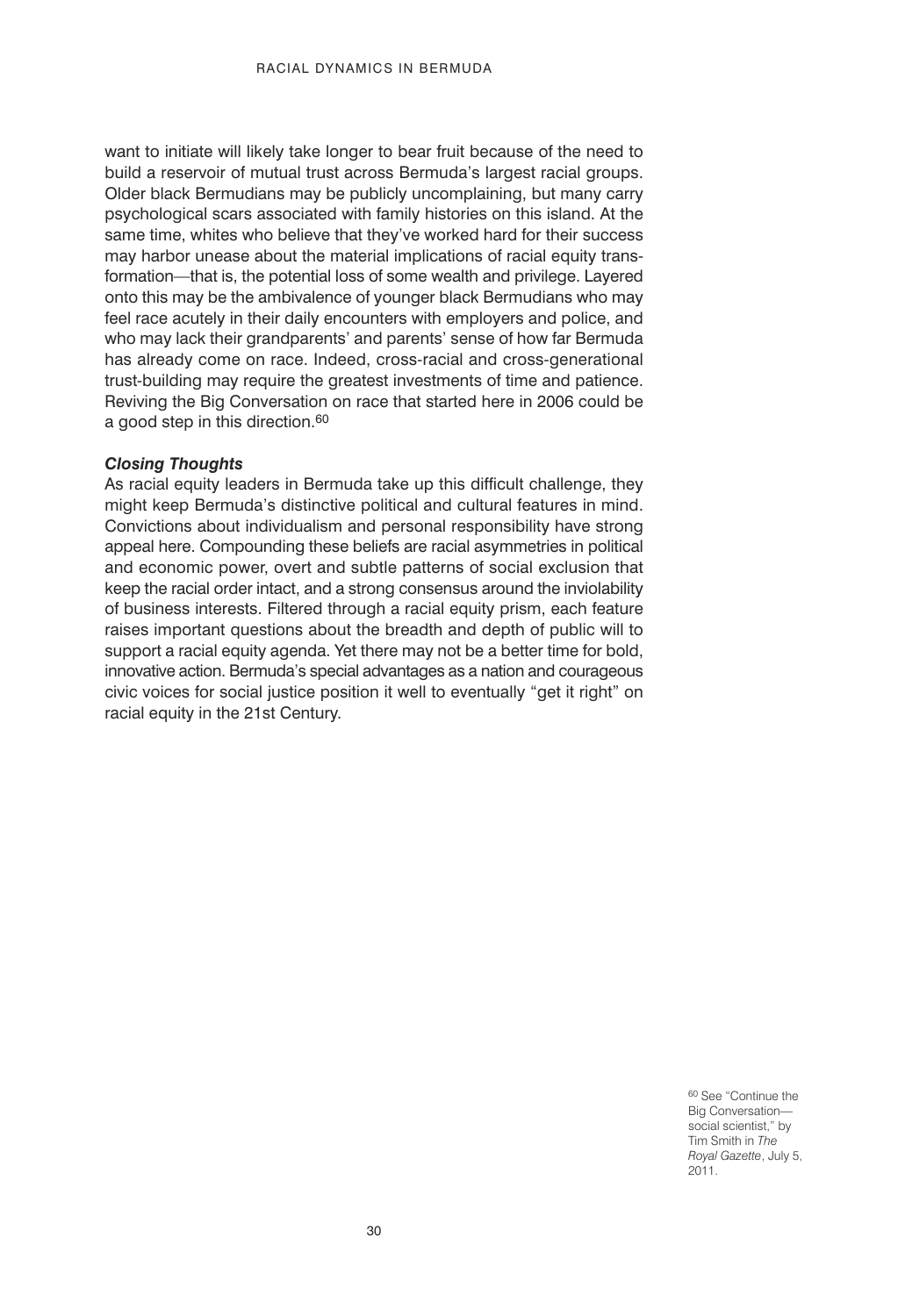want to initiate will likely take longer to bear fruit because of the need to build a reservoir of mutual trust across Bermuda's largest racial groups. Older black Bermudians may be publicly uncomplaining, but many carry psychological scars associated with family histories on this island. At the same time, whites who believe that they've worked hard for their success may harbor unease about the material implications of racial equity transformation—that is, the potential loss of some wealth and privilege. Layered onto this may be the ambivalence of younger black Bermudians who may feel race acutely in their daily encounters with employers and police, and who may lack their grandparents' and parents' sense of how far Bermuda has already come on race. Indeed, cross-racial and cross-generational trust-building may require the greatest investments of time and patience. Reviving the Big Conversation on race that started here in 2006 could be a good step in this direction.<sup>60</sup>

### *Closing Thoughts*

As racial equity leaders in Bermuda take up this difficult challenge, they might keep Bermuda's distinctive political and cultural features in mind. Convictions about individualism and personal responsibility have strong appeal here. Compounding these beliefs are racial asymmetries in political and economic power, overt and subtle patterns of social exclusion that keep the racial order intact, and a strong consensus around the inviolability of business interests. Filtered through a racial equity prism, each feature raises important questions about the breadth and depth of public will to support a racial equity agenda. Yet there may not be a better time for bold, innovative action. Bermuda's special advantages as a nation and courageous civic voices for social justice position it well to eventually "get it right" on racial equity in the 21st Century.

> <sup>60</sup> See "Continue the Big Conversation social scientist," by Tim Smith in *The Royal Gazette*, July 5, 2011.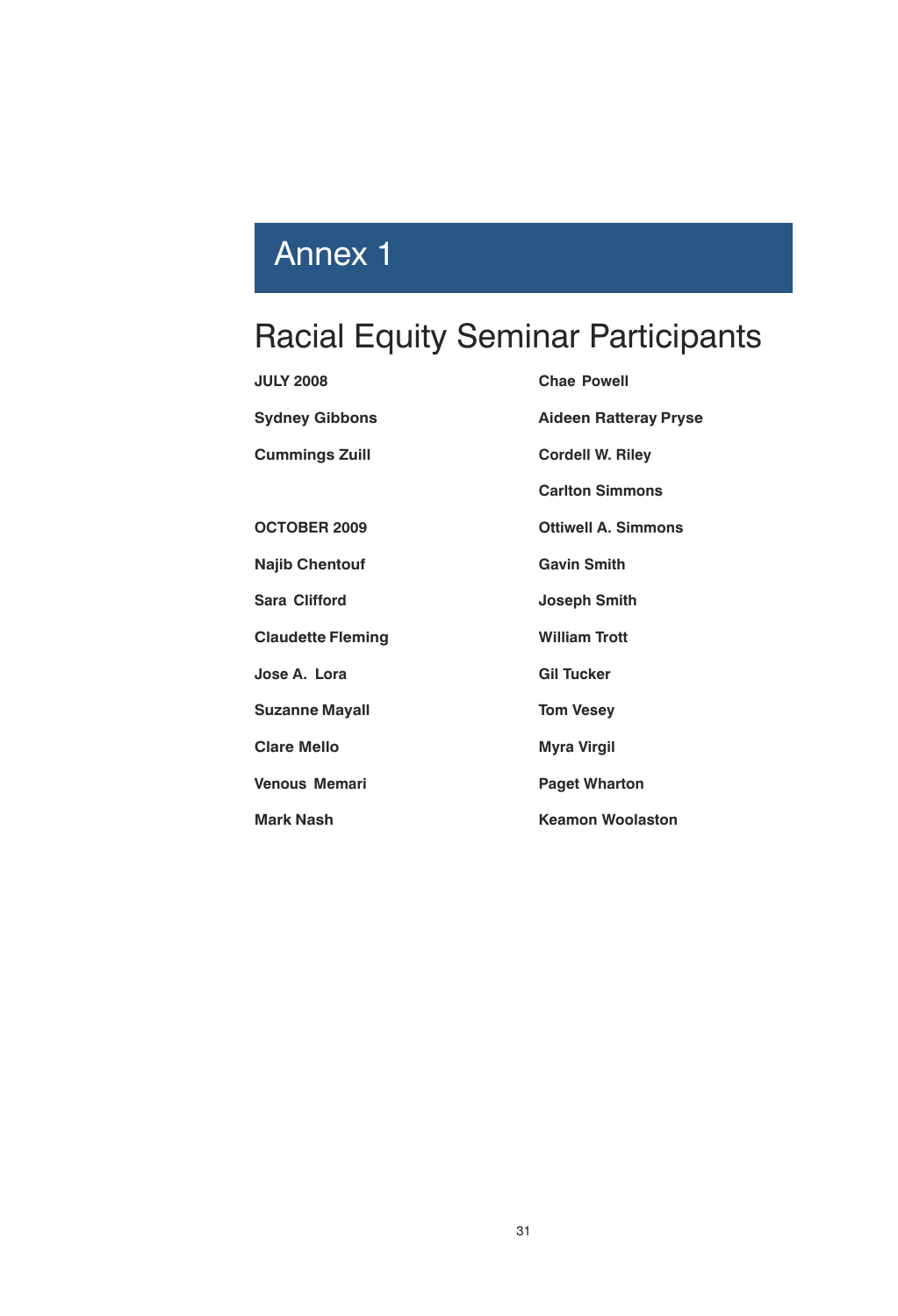# Annex 1

# Racial Equity Seminar Participants

| <b>JULY 2008</b>         | <b>Chae Powell</b>           |
|--------------------------|------------------------------|
| <b>Sydney Gibbons</b>    | <b>Aideen Ratteray Pryse</b> |
| <b>Cummings Zuill</b>    | <b>Cordell W. Riley</b>      |
|                          | <b>Carlton Simmons</b>       |
| OCTOBER 2009             | <b>Ottiwell A. Simmons</b>   |
| <b>Najib Chentouf</b>    | <b>Gavin Smith</b>           |
| <b>Sara Clifford</b>     | <b>Joseph Smith</b>          |
| <b>Claudette Fleming</b> | <b>William Trott</b>         |
| Jose A. Lora             | <b>Gil Tucker</b>            |
| <b>Suzanne Mayall</b>    | <b>Tom Vesey</b>             |
| <b>Clare Mello</b>       | <b>Myra Virgil</b>           |
| <b>Venous Memari</b>     | <b>Paget Wharton</b>         |
| <b>Mark Nash</b>         | <b>Keamon Woolaston</b>      |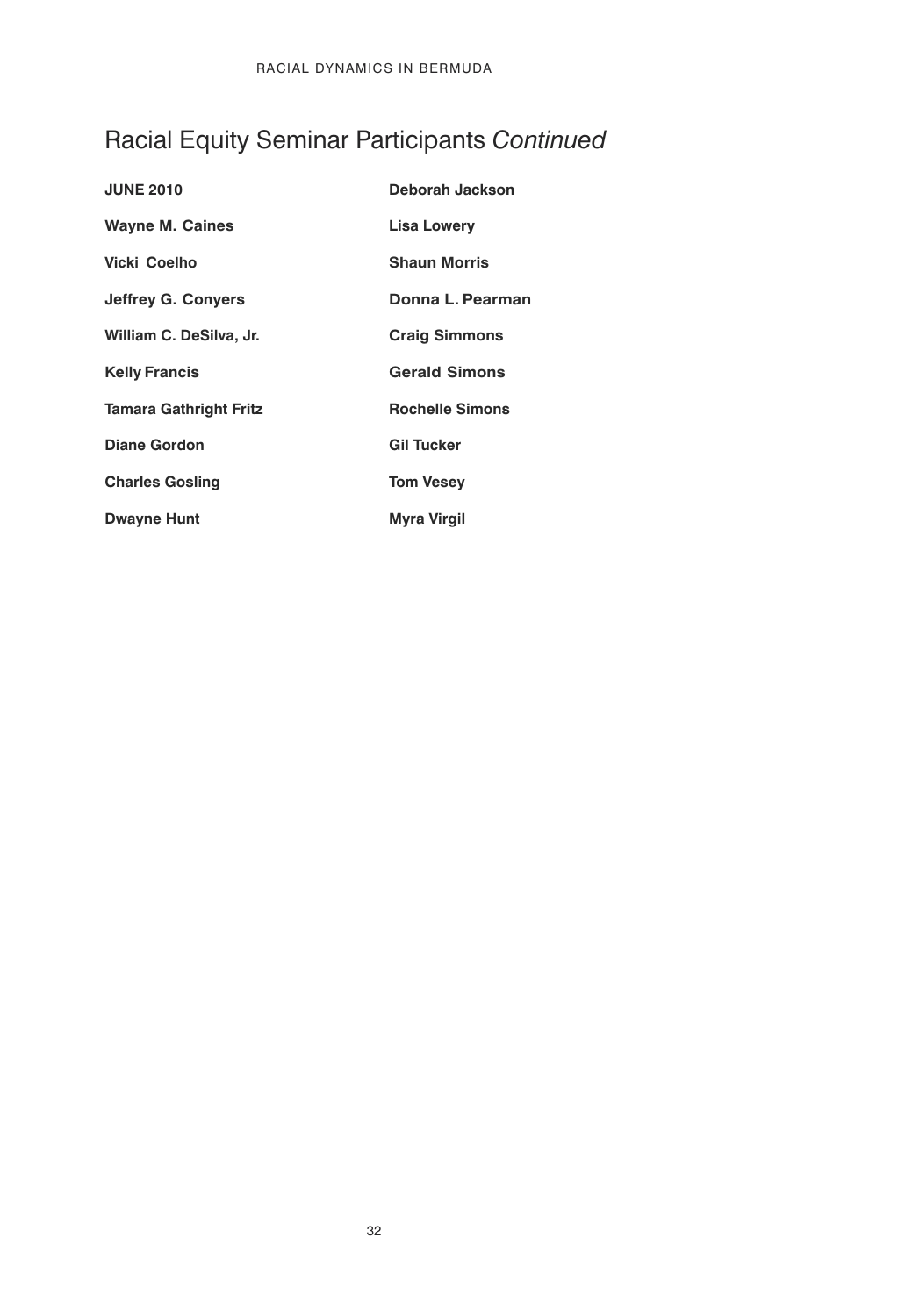### Racial Equity Seminar Participants *Continued*

| <b>JUNE 2010</b>              | Deborah Jackson        |
|-------------------------------|------------------------|
| <b>Wayne M. Caines</b>        | <b>Lisa Lowery</b>     |
| Vicki Coelho                  | <b>Shaun Morris</b>    |
| <b>Jeffrey G. Convers</b>     | Donna L. Pearman       |
| William C. DeSilva, Jr.       | <b>Craig Simmons</b>   |
| <b>Kelly Francis</b>          | <b>Gerald Simons</b>   |
| <b>Tamara Gathright Fritz</b> | <b>Rochelle Simons</b> |
| <b>Diane Gordon</b>           | <b>Gil Tucker</b>      |
| <b>Charles Gosling</b>        | <b>Tom Vesey</b>       |
| <b>Dwayne Hunt</b>            | <b>Myra Virgil</b>     |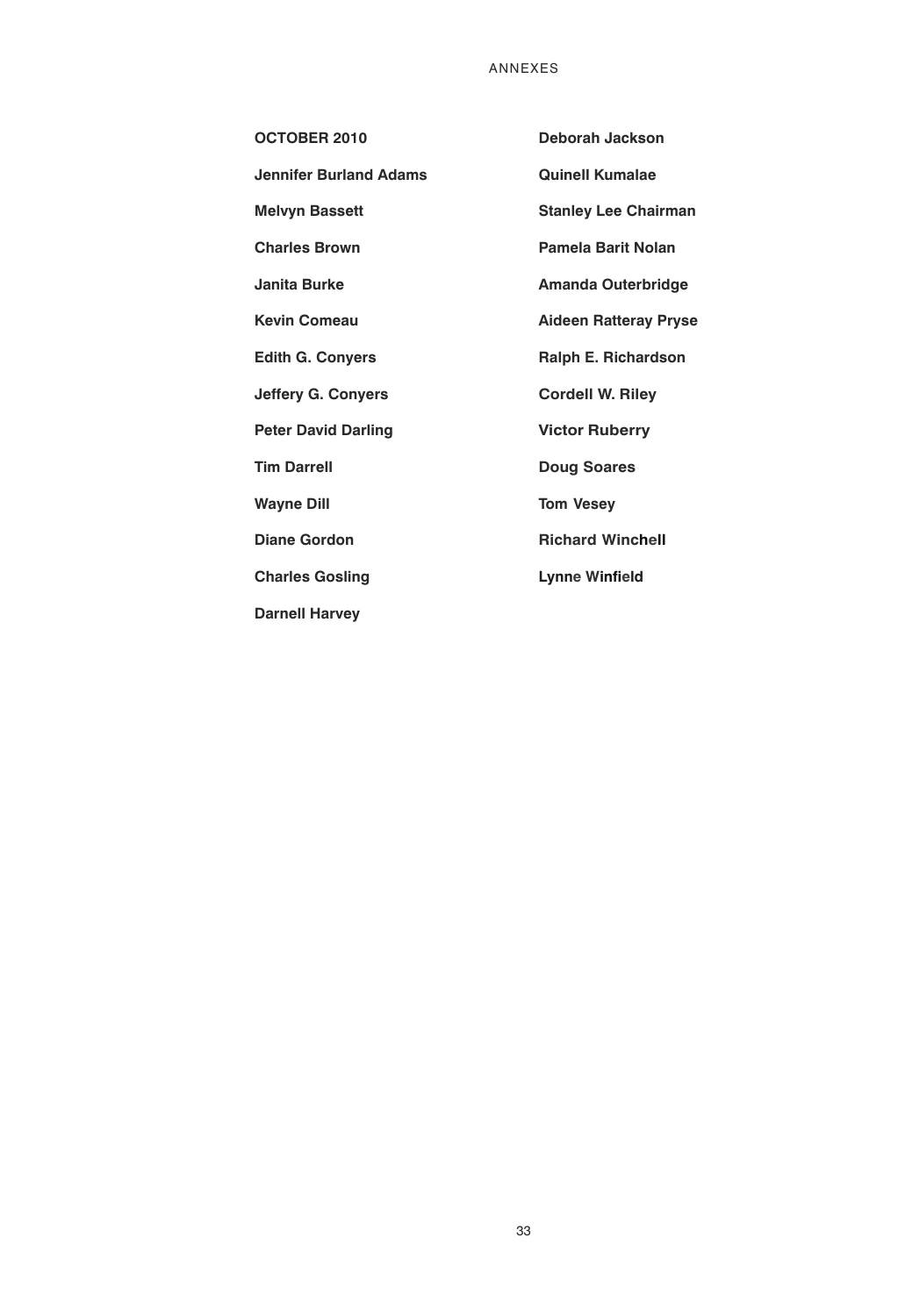### ANNEXES

| OCTOBER 2010                  | Deborah Jackson              |
|-------------------------------|------------------------------|
| <b>Jennifer Burland Adams</b> | <b>Quinell Kumalae</b>       |
| <b>Melvyn Bassett</b>         | <b>Stanley Lee Chairman</b>  |
| <b>Charles Brown</b>          | Pamela Barit Nolan           |
| Janita Burke                  | <b>Amanda Outerbridge</b>    |
| <b>Kevin Comeau</b>           | <b>Aideen Ratteray Pryse</b> |
| <b>Edith G. Conyers</b>       | <b>Ralph E. Richardson</b>   |
| Jeffery G. Conyers            | <b>Cordell W. Riley</b>      |
| <b>Peter David Darling</b>    | <b>Victor Ruberry</b>        |
| <b>Tim Darrell</b>            | <b>Doug Soares</b>           |
| <b>Wayne Dill</b>             | <b>Tom Vesey</b>             |
| <b>Diane Gordon</b>           | <b>Richard Winchell</b>      |
| <b>Charles Gosling</b>        | Lynne Winfield               |
|                               |                              |

**Darnell Harvey**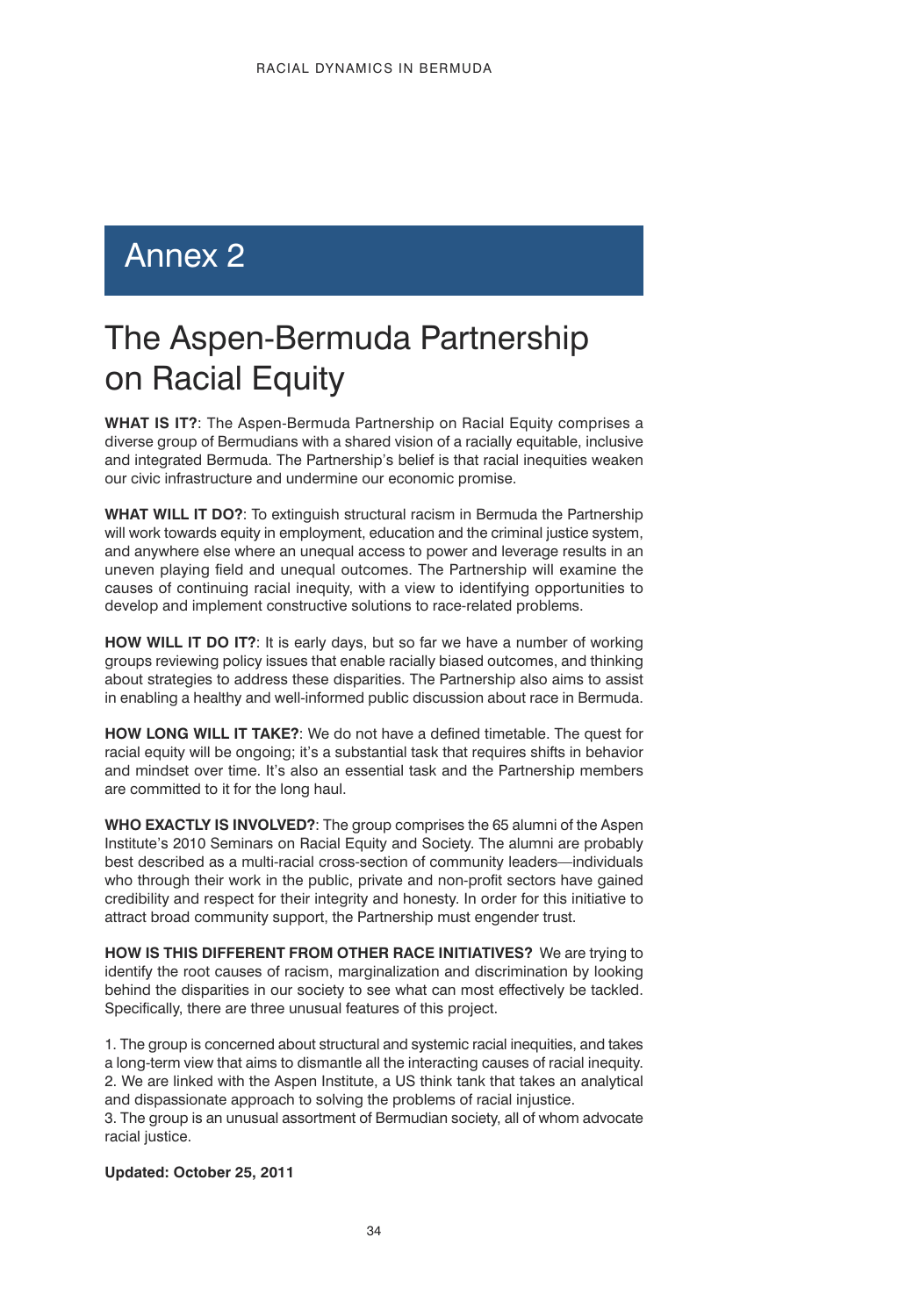### Annex 2

# The Aspen-Bermuda Partnership on Racial Equity

**WHAT IS IT?**: The Aspen-Bermuda Partnership on Racial Equity comprises a diverse group of Bermudians with a shared vision of a racially equitable, inclusive and integrated Bermuda. The Partnership's belief is that racial inequities weaken our civic infrastructure and undermine our economic promise.

**WHAT WILL IT DO?**: To extinguish structural racism in Bermuda the Partnership will work towards equity in employment, education and the criminal justice system, and anywhere else where an unequal access to power and leverage results in an uneven playing field and unequal outcomes. The Partnership will examine the causes of continuing racial inequity, with a view to identifying opportunities to develop and implement constructive solutions to race-related problems.

**HOW WILL IT DO IT?**: It is early days, but so far we have a number of working groups reviewing policy issues that enable racially biased outcomes, and thinking about strategies to address these disparities. The Partnership also aims to assist in enabling a healthy and well-informed public discussion about race in Bermuda.

**HOW LONG WILL IT TAKE?**: We do not have a defined timetable. The quest for racial equity will be ongoing; it's a substantial task that requires shifts in behavior and mindset over time. It's also an essential task and the Partnership members are committed to it for the long haul.

**WHO EXACTLY IS INVOLVED?**: The group comprises the 65 alumni of the Aspen Institute's 2010 Seminars on Racial Equity and Society. The alumni are probably best described as a multi-racial cross-section of community leaders—individuals who through their work in the public, private and non-profit sectors have gained credibility and respect for their integrity and honesty. In order for this initiative to attract broad community support, the Partnership must engender trust.

**HOW IS THIS DIFFERENT FROM OTHER RACE INITIATIVES?** We are trying to identify the root causes of racism, marginalization and discrimination by looking behind the disparities in our society to see what can most effectively be tackled. Specifically, there are three unusual features of this project.

1. The group is concerned about structural and systemic racial inequities, and takes a long-term view that aims to dismantle all the interacting causes of racial inequity. 2. We are linked with the Aspen Institute, a US think tank that takes an analytical and dispassionate approach to solving the problems of racial injustice.

3. The group is an unusual assortment of Bermudian society, all of whom advocate racial iustice.

#### **Updated: October 25, 2011**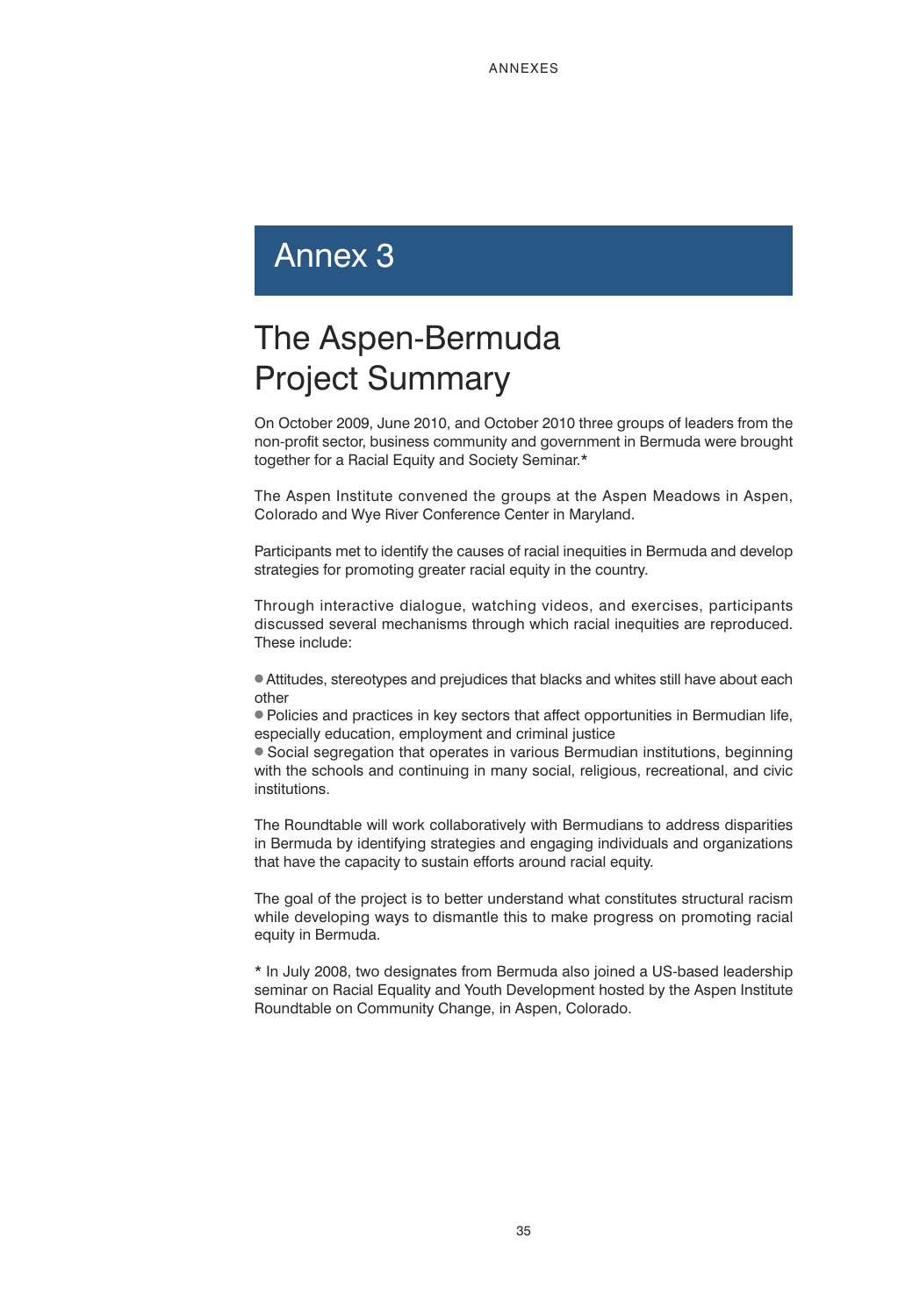### Annex 3

### The Aspen-Bermuda Project Summary

On October 2009, June 2010, and October 2010 three groups of leaders from the non-profit sector, business community and government in Bermuda were brought together for a Racial Equity and Society Seminar.\*

The Aspen Institute convened the groups at the Aspen Meadows in Aspen, Colorado and Wye River Conference Center in Maryland.

Participants met to identify the causes of racial inequities in Bermuda and develop strategies for promoting greater racial equity in the country.

Through interactive dialogue, watching videos, and exercises, participants discussed several mechanisms through which racial inequities are reproduced. These include:

l Attitudes, stereotypes and prejudices that blacks and whites still have about each other

l Policies and practices in key sectors that affect opportunities in Bermudian life, especially education, employment and criminal justice

• Social segregation that operates in various Bermudian institutions, beginning with the schools and continuing in many social, religious, recreational, and civic institutions.

The Roundtable will work collaboratively with Bermudians to address disparities in Bermuda by identifying strategies and engaging individuals and organizations that have the capacity to sustain efforts around racial equity.

The goal of the project is to better understand what constitutes structural racism while developing ways to dismantle this to make progress on promoting racial equity in Bermuda.

\* In July 2008, two designates from Bermuda also joined a US-based leadership seminar on Racial Equality and Youth Development hosted by the Aspen Institute Roundtable on Community Change, in Aspen, Colorado.